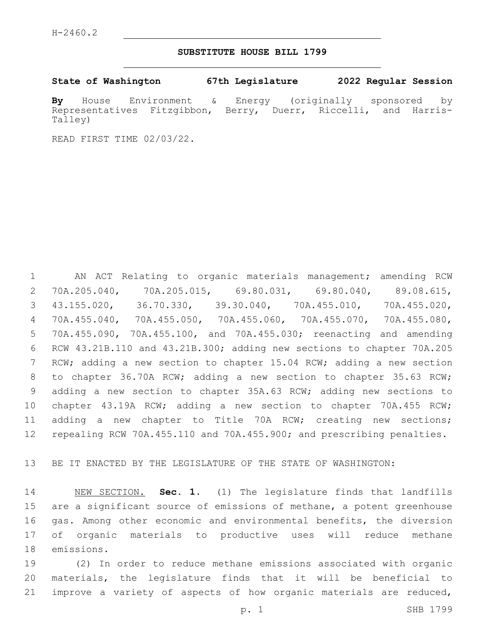### **SUBSTITUTE HOUSE BILL 1799**

**State of Washington 67th Legislature 2022 Regular Session**

**By** House Environment & Energy (originally sponsored by Representatives Fitzgibbon, Berry, Duerr, Riccelli, and Harris-Talley)

READ FIRST TIME 02/03/22.

 AN ACT Relating to organic materials management; amending RCW 70A.205.040, 70A.205.015, 69.80.031, 69.80.040, 89.08.615, 43.155.020, 36.70.330, 39.30.040, 70A.455.010, 70A.455.020, 70A.455.040, 70A.455.050, 70A.455.060, 70A.455.070, 70A.455.080, 70A.455.090, 70A.455.100, and 70A.455.030; reenacting and amending RCW 43.21B.110 and 43.21B.300; adding new sections to chapter 70A.205 RCW; adding a new section to chapter 15.04 RCW; adding a new section to chapter 36.70A RCW; adding a new section to chapter 35.63 RCW; adding a new section to chapter 35A.63 RCW; adding new sections to chapter 43.19A RCW; adding a new section to chapter 70A.455 RCW; adding a new chapter to Title 70A RCW; creating new sections; repealing RCW 70A.455.110 and 70A.455.900; and prescribing penalties.

BE IT ENACTED BY THE LEGISLATURE OF THE STATE OF WASHINGTON:

 NEW SECTION. **Sec. 1.** (1) The legislature finds that landfills are a significant source of emissions of methane, a potent greenhouse gas. Among other economic and environmental benefits, the diversion of organic materials to productive uses will reduce methane emissions.

 (2) In order to reduce methane emissions associated with organic materials, the legislature finds that it will be beneficial to improve a variety of aspects of how organic materials are reduced,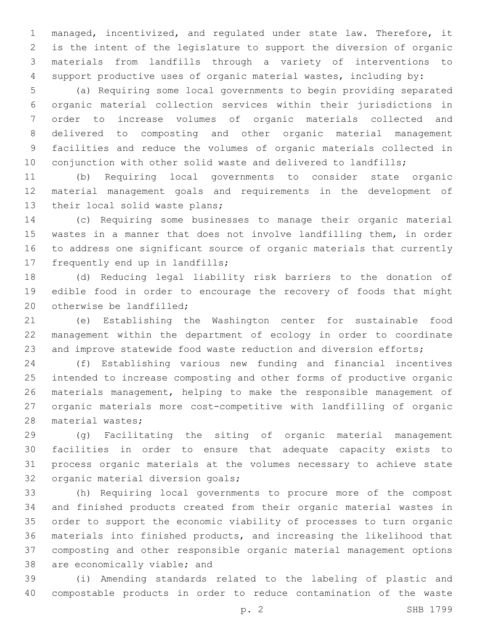managed, incentivized, and regulated under state law. Therefore, it is the intent of the legislature to support the diversion of organic materials from landfills through a variety of interventions to support productive uses of organic material wastes, including by:

 (a) Requiring some local governments to begin providing separated organic material collection services within their jurisdictions in order to increase volumes of organic materials collected and delivered to composting and other organic material management facilities and reduce the volumes of organic materials collected in 10 conjunction with other solid waste and delivered to landfills;

 (b) Requiring local governments to consider state organic material management goals and requirements in the development of 13 their local solid waste plans;

 (c) Requiring some businesses to manage their organic material wastes in a manner that does not involve landfilling them, in order to address one significant source of organic materials that currently 17 frequently end up in landfills;

 (d) Reducing legal liability risk barriers to the donation of edible food in order to encourage the recovery of foods that might 20 otherwise be landfilled:

 (e) Establishing the Washington center for sustainable food management within the department of ecology in order to coordinate 23 and improve statewide food waste reduction and diversion efforts;

 (f) Establishing various new funding and financial incentives intended to increase composting and other forms of productive organic materials management, helping to make the responsible management of organic materials more cost-competitive with landfilling of organic 28 material wastes;

 (g) Facilitating the siting of organic material management facilities in order to ensure that adequate capacity exists to process organic materials at the volumes necessary to achieve state 32 organic material diversion goals;

 (h) Requiring local governments to procure more of the compost and finished products created from their organic material wastes in order to support the economic viability of processes to turn organic materials into finished products, and increasing the likelihood that composting and other responsible organic material management options 38 are economically viable; and

 (i) Amending standards related to the labeling of plastic and compostable products in order to reduce contamination of the waste

p. 2 SHB 1799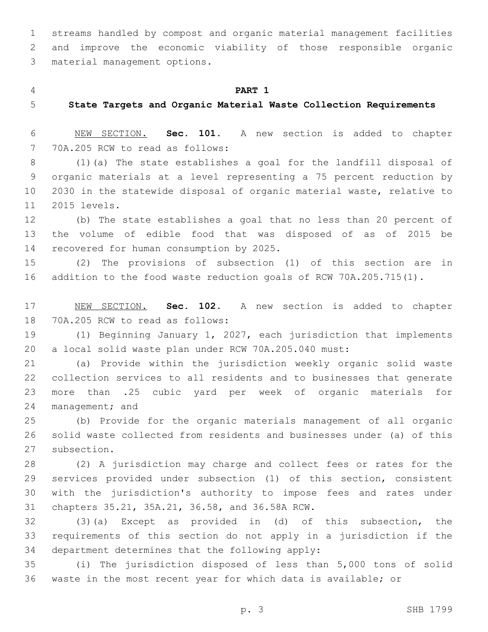streams handled by compost and organic material management facilities and improve the economic viability of those responsible organic 3 material management options.

#### **PART 1**

**State Targets and Organic Material Waste Collection Requirements**

 NEW SECTION. **Sec. 101.** A new section is added to chapter 7 70A.205 RCW to read as follows:

 (1)(a) The state establishes a goal for the landfill disposal of organic materials at a level representing a 75 percent reduction by 2030 in the statewide disposal of organic material waste, relative to 11 2015 levels.

 (b) The state establishes a goal that no less than 20 percent of the volume of edible food that was disposed of as of 2015 be 14 recovered for human consumption by 2025.

 (2) The provisions of subsection (1) of this section are in addition to the food waste reduction goals of RCW 70A.205.715(1).

 NEW SECTION. **Sec. 102.** A new section is added to chapter 18 70A.205 RCW to read as follows:

 (1) Beginning January 1, 2027, each jurisdiction that implements a local solid waste plan under RCW 70A.205.040 must:

 (a) Provide within the jurisdiction weekly organic solid waste collection services to all residents and to businesses that generate more than .25 cubic yard per week of organic materials for 24 management; and

 (b) Provide for the organic materials management of all organic solid waste collected from residents and businesses under (a) of this 27 subsection.

 (2) A jurisdiction may charge and collect fees or rates for the services provided under subsection (1) of this section, consistent with the jurisdiction's authority to impose fees and rates under 31 chapters 35.21, 35A.21, 36.58, and 36.58A RCW.

 (3)(a) Except as provided in (d) of this subsection, the requirements of this section do not apply in a jurisdiction if the 34 department determines that the following apply:

 (i) The jurisdiction disposed of less than 5,000 tons of solid waste in the most recent year for which data is available; or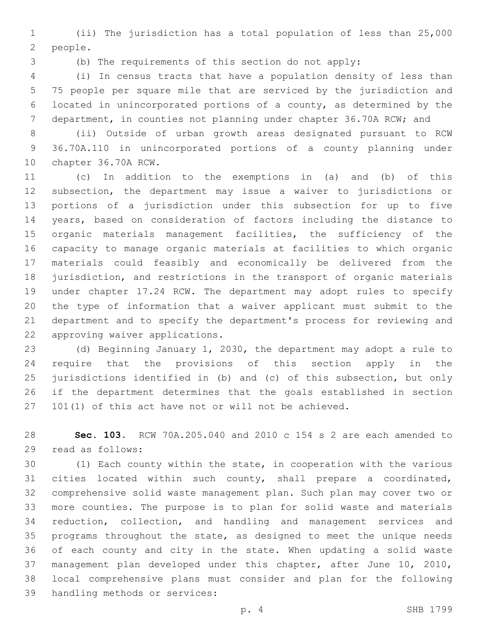(ii) The jurisdiction has a total population of less than 25,000 2 people.

(b) The requirements of this section do not apply:

 (i) In census tracts that have a population density of less than 75 people per square mile that are serviced by the jurisdiction and located in unincorporated portions of a county, as determined by the department, in counties not planning under chapter 36.70A RCW; and

 (ii) Outside of urban growth areas designated pursuant to RCW 36.70A.110 in unincorporated portions of a county planning under 10 chapter 36.70A RCW.

 (c) In addition to the exemptions in (a) and (b) of this subsection, the department may issue a waiver to jurisdictions or portions of a jurisdiction under this subsection for up to five years, based on consideration of factors including the distance to organic materials management facilities, the sufficiency of the capacity to manage organic materials at facilities to which organic materials could feasibly and economically be delivered from the jurisdiction, and restrictions in the transport of organic materials under chapter 17.24 RCW. The department may adopt rules to specify the type of information that a waiver applicant must submit to the department and to specify the department's process for reviewing and 22 approving waiver applications.

 (d) Beginning January 1, 2030, the department may adopt a rule to require that the provisions of this section apply in the jurisdictions identified in (b) and (c) of this subsection, but only if the department determines that the goals established in section 101(1) of this act have not or will not be achieved.

 **Sec. 103.** RCW 70A.205.040 and 2010 c 154 s 2 are each amended to 29 read as follows:

 (1) Each county within the state, in cooperation with the various cities located within such county, shall prepare a coordinated, comprehensive solid waste management plan. Such plan may cover two or more counties. The purpose is to plan for solid waste and materials reduction, collection, and handling and management services and programs throughout the state, as designed to meet the unique needs of each county and city in the state. When updating a solid waste management plan developed under this chapter, after June 10, 2010, local comprehensive plans must consider and plan for the following 39 handling methods or services: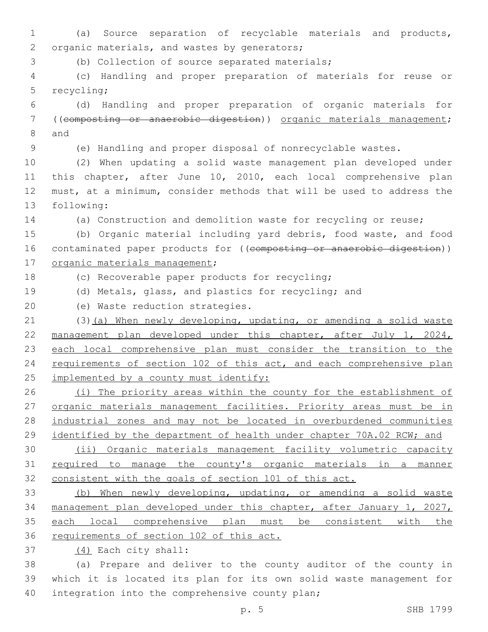1 (a) Source separation of recyclable materials and products, 2 organic materials, and wastes by generators;

3 (b) Collection of source separated materials;

4 (c) Handling and proper preparation of materials for reuse or 5 recycling;

6 (d) Handling and proper preparation of organic materials for 7 ((composting or anaerobic digestion)) organic materials management; 8 and

9 (e) Handling and proper disposal of nonrecyclable wastes.

 (2) When updating a solid waste management plan developed under this chapter, after June 10, 2010, each local comprehensive plan must, at a minimum, consider methods that will be used to address the 13 following:

14 (a) Construction and demolition waste for recycling or reuse;

15 (b) Organic material including yard debris, food waste, and food 16 contaminated paper products for ((composting or anaerobic digestion)) 17 organic materials management;

18 (c) Recoverable paper products for recycling;

19 (d) Metals, glass, and plastics for recycling; and

20 (e) Waste reduction strategies.

21 (3)(a) When newly developing, updating, or amending a solid waste 22 management plan developed under this chapter, after July 1, 2024, 23 each local comprehensive plan must consider the transition to the 24 requirements of section 102 of this act, and each comprehensive plan 25 implemented by a county must identify:

26 (i) The priority areas within the county for the establishment of 27 organic materials management facilities. Priority areas must be in 28 industrial zones and may not be located in overburdened communities 29 identified by the department of health under chapter 70A.02 RCW; and

30 (ii) Organic materials management facility volumetric capacity 31 required to manage the county's organic materials in a manner 32 consistent with the goals of section 101 of this act.

 (b) When newly developing, updating, or amending a solid waste management plan developed under this chapter, after January 1, 2027, each local comprehensive plan must be consistent with the 36 requirements of section 102 of this act.

(4) Each city shall:37

38 (a) Prepare and deliver to the county auditor of the county in 39 which it is located its plan for its own solid waste management for 40 integration into the comprehensive county plan;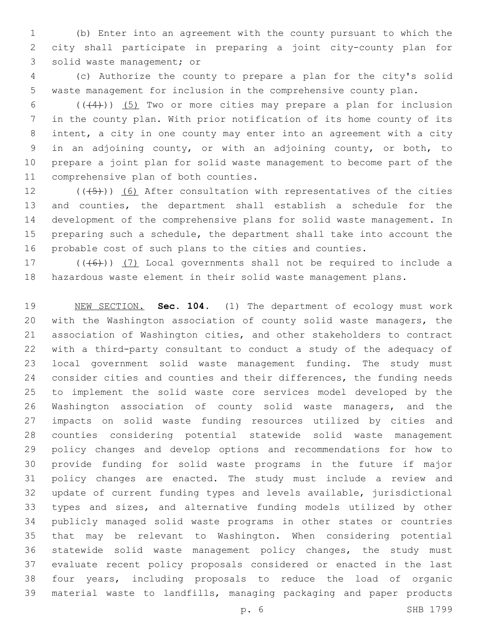(b) Enter into an agreement with the county pursuant to which the city shall participate in preparing a joint city-county plan for 3 solid waste management; or

 (c) Authorize the county to prepare a plan for the city's solid waste management for inclusion in the comprehensive county plan.

 $((+4))$   $(5)$  Two or more cities may prepare a plan for inclusion in the county plan. With prior notification of its home county of its intent, a city in one county may enter into an agreement with a city in an adjoining county, or with an adjoining county, or both, to prepare a joint plan for solid waste management to become part of the 11 comprehensive plan of both counties.

 $((+5+))$  (6) After consultation with representatives of the cities and counties, the department shall establish a schedule for the development of the comprehensive plans for solid waste management. In preparing such a schedule, the department shall take into account the probable cost of such plans to the cities and counties.

17  $((+6))$   $(7)$  Local governments shall not be required to include a hazardous waste element in their solid waste management plans.

 NEW SECTION. **Sec. 104.** (1) The department of ecology must work with the Washington association of county solid waste managers, the association of Washington cities, and other stakeholders to contract with a third-party consultant to conduct a study of the adequacy of local government solid waste management funding. The study must consider cities and counties and their differences, the funding needs to implement the solid waste core services model developed by the Washington association of county solid waste managers, and the impacts on solid waste funding resources utilized by cities and counties considering potential statewide solid waste management policy changes and develop options and recommendations for how to provide funding for solid waste programs in the future if major policy changes are enacted. The study must include a review and update of current funding types and levels available, jurisdictional types and sizes, and alternative funding models utilized by other publicly managed solid waste programs in other states or countries that may be relevant to Washington. When considering potential statewide solid waste management policy changes, the study must evaluate recent policy proposals considered or enacted in the last four years, including proposals to reduce the load of organic material waste to landfills, managing packaging and paper products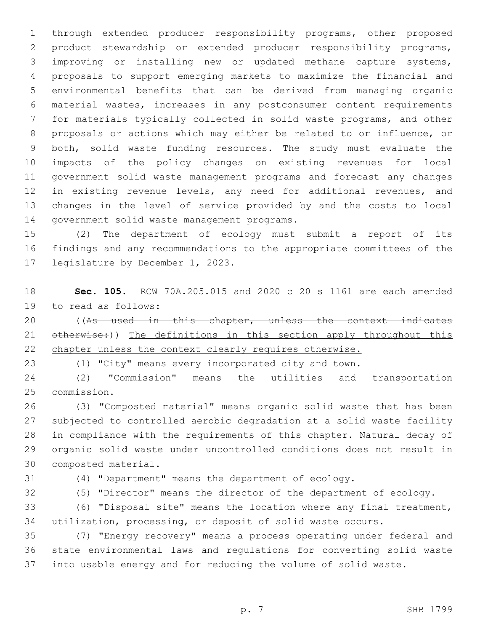through extended producer responsibility programs, other proposed product stewardship or extended producer responsibility programs, improving or installing new or updated methane capture systems, proposals to support emerging markets to maximize the financial and environmental benefits that can be derived from managing organic material wastes, increases in any postconsumer content requirements for materials typically collected in solid waste programs, and other proposals or actions which may either be related to or influence, or both, solid waste funding resources. The study must evaluate the impacts of the policy changes on existing revenues for local government solid waste management programs and forecast any changes in existing revenue levels, any need for additional revenues, and changes in the level of service provided by and the costs to local 14 government solid waste management programs.

 (2) The department of ecology must submit a report of its findings and any recommendations to the appropriate committees of the 17 legislature by December 1, 2023.

 **Sec. 105.** RCW 70A.205.015 and 2020 c 20 s 1161 are each amended 19 to read as follows:

20 ((As used in this chapter, unless the context indicates 21 otherwise:)) The definitions in this section apply throughout this 22 chapter unless the context clearly requires otherwise.

(1) "City" means every incorporated city and town.

 (2) "Commission" means the utilities and transportation 25 commission.

 (3) "Composted material" means organic solid waste that has been subjected to controlled aerobic degradation at a solid waste facility in compliance with the requirements of this chapter. Natural decay of organic solid waste under uncontrolled conditions does not result in 30 composted material.

(4) "Department" means the department of ecology.

(5) "Director" means the director of the department of ecology.

 (6) "Disposal site" means the location where any final treatment, utilization, processing, or deposit of solid waste occurs.

 (7) "Energy recovery" means a process operating under federal and state environmental laws and regulations for converting solid waste into usable energy and for reducing the volume of solid waste.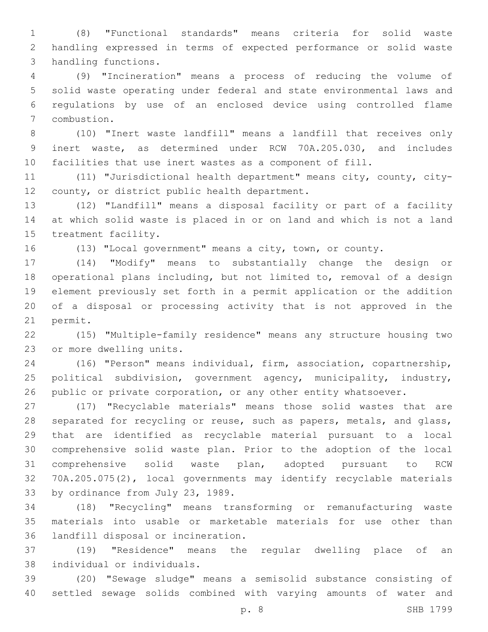(8) "Functional standards" means criteria for solid waste handling expressed in terms of expected performance or solid waste 3 handling functions.

 (9) "Incineration" means a process of reducing the volume of solid waste operating under federal and state environmental laws and regulations by use of an enclosed device using controlled flame 7 combustion.

 (10) "Inert waste landfill" means a landfill that receives only inert waste, as determined under RCW 70A.205.030, and includes facilities that use inert wastes as a component of fill.

 (11) "Jurisdictional health department" means city, county, city-12 county, or district public health department.

 (12) "Landfill" means a disposal facility or part of a facility at which solid waste is placed in or on land and which is not a land 15 treatment facility.

(13) "Local government" means a city, town, or county.

 (14) "Modify" means to substantially change the design or operational plans including, but not limited to, removal of a design element previously set forth in a permit application or the addition of a disposal or processing activity that is not approved in the 21 permit.

 (15) "Multiple-family residence" means any structure housing two 23 or more dwelling units.

 (16) "Person" means individual, firm, association, copartnership, political subdivision, government agency, municipality, industry, 26 public or private corporation, or any other entity whatsoever.

 (17) "Recyclable materials" means those solid wastes that are 28 separated for recycling or reuse, such as papers, metals, and qlass, that are identified as recyclable material pursuant to a local comprehensive solid waste plan. Prior to the adoption of the local comprehensive solid waste plan, adopted pursuant to RCW 70A.205.075(2), local governments may identify recyclable materials 33 by ordinance from July 23, 1989.

 (18) "Recycling" means transforming or remanufacturing waste materials into usable or marketable materials for use other than 36 landfill disposal or incineration.

 (19) "Residence" means the regular dwelling place of an individual or individuals.38

 (20) "Sewage sludge" means a semisolid substance consisting of settled sewage solids combined with varying amounts of water and

p. 8 SHB 1799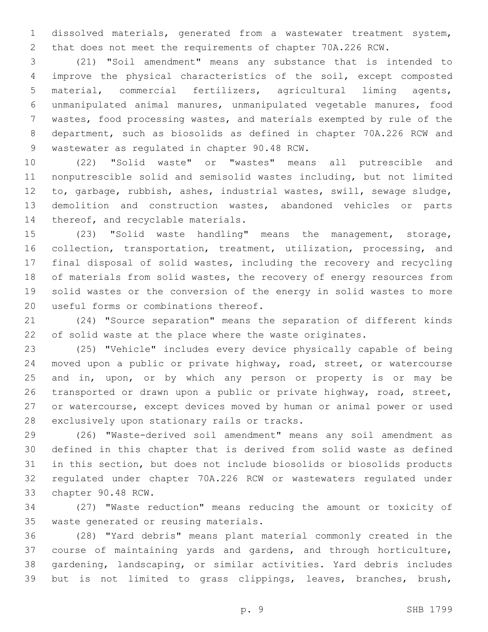dissolved materials, generated from a wastewater treatment system, that does not meet the requirements of chapter 70A.226 RCW.

 (21) "Soil amendment" means any substance that is intended to improve the physical characteristics of the soil, except composted material, commercial fertilizers, agricultural liming agents, unmanipulated animal manures, unmanipulated vegetable manures, food wastes, food processing wastes, and materials exempted by rule of the department, such as biosolids as defined in chapter 70A.226 RCW and 9 wastewater as regulated in chapter 90.48 RCW.

 (22) "Solid waste" or "wastes" means all putrescible and nonputrescible solid and semisolid wastes including, but not limited to, garbage, rubbish, ashes, industrial wastes, swill, sewage sludge, demolition and construction wastes, abandoned vehicles or parts 14 thereof, and recyclable materials.

 (23) "Solid waste handling" means the management, storage, collection, transportation, treatment, utilization, processing, and final disposal of solid wastes, including the recovery and recycling 18 of materials from solid wastes, the recovery of energy resources from solid wastes or the conversion of the energy in solid wastes to more 20 useful forms or combinations thereof.

 (24) "Source separation" means the separation of different kinds of solid waste at the place where the waste originates.

 (25) "Vehicle" includes every device physically capable of being moved upon a public or private highway, road, street, or watercourse and in, upon, or by which any person or property is or may be transported or drawn upon a public or private highway, road, street, or watercourse, except devices moved by human or animal power or used 28 exclusively upon stationary rails or tracks.

 (26) "Waste-derived soil amendment" means any soil amendment as defined in this chapter that is derived from solid waste as defined in this section, but does not include biosolids or biosolids products regulated under chapter 70A.226 RCW or wastewaters regulated under 33 chapter 90.48 RCW.

 (27) "Waste reduction" means reducing the amount or toxicity of 35 waste generated or reusing materials.

 (28) "Yard debris" means plant material commonly created in the course of maintaining yards and gardens, and through horticulture, gardening, landscaping, or similar activities. Yard debris includes but is not limited to grass clippings, leaves, branches, brush,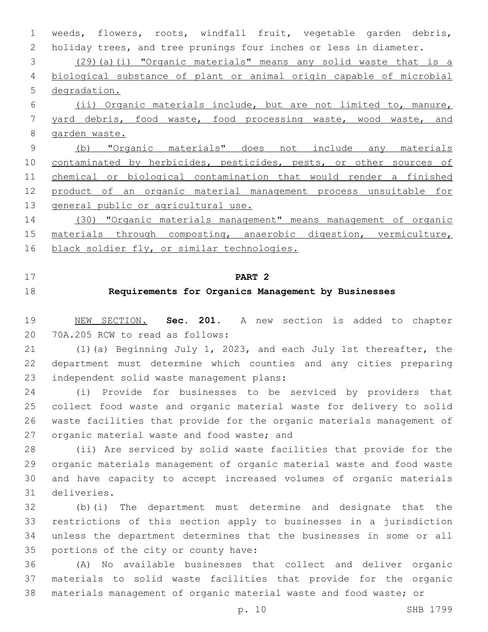weeds, flowers, roots, windfall fruit, vegetable garden debris, holiday trees, and tree prunings four inches or less in diameter. (29)(a)(i) "Organic materials" means any solid waste that is a biological substance of plant or animal origin capable of microbial degradation. (ii) Organic materials include, but are not limited to, manure, yard debris, food waste, food processing waste, wood waste, and garden waste. (b) "Organic materials" does not include any materials 10 contaminated by herbicides, pesticides, pests, or other sources of chemical or biological contamination that would render a finished product of an organic material management process unsuitable for 13 general public or agricultural use. (30) "Organic materials management" means management of organic

 materials through composting, anaerobic digestion, vermiculture, 16 black soldier fly, or similar technologies.

**PART 2**

# **Requirements for Organics Management by Businesses**

 NEW SECTION. **Sec. 201.** A new section is added to chapter 20 70A.205 RCW to read as follows:

 (1)(a) Beginning July 1, 2023, and each July 1st thereafter, the department must determine which counties and any cities preparing 23 independent solid waste management plans:

 (i) Provide for businesses to be serviced by providers that collect food waste and organic material waste for delivery to solid waste facilities that provide for the organic materials management of 27 organic material waste and food waste; and

 (ii) Are serviced by solid waste facilities that provide for the organic materials management of organic material waste and food waste and have capacity to accept increased volumes of organic materials deliveries.31

 (b)(i) The department must determine and designate that the restrictions of this section apply to businesses in a jurisdiction unless the department determines that the businesses in some or all 35 portions of the city or county have:

 (A) No available businesses that collect and deliver organic materials to solid waste facilities that provide for the organic materials management of organic material waste and food waste; or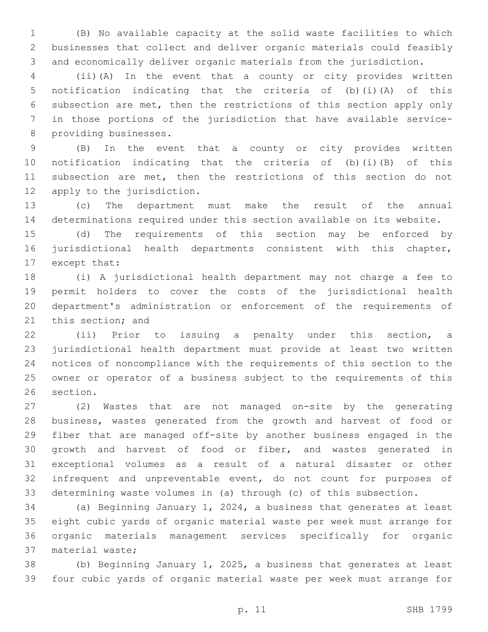(B) No available capacity at the solid waste facilities to which businesses that collect and deliver organic materials could feasibly and economically deliver organic materials from the jurisdiction.

 (ii)(A) In the event that a county or city provides written notification indicating that the criteria of (b)(i)(A) of this subsection are met, then the restrictions of this section apply only in those portions of the jurisdiction that have available service-8 providing businesses.

 (B) In the event that a county or city provides written notification indicating that the criteria of (b)(i)(B) of this subsection are met, then the restrictions of this section do not 12 apply to the jurisdiction.

 (c) The department must make the result of the annual determinations required under this section available on its website.

 (d) The requirements of this section may be enforced by jurisdictional health departments consistent with this chapter, 17 except that:

 (i) A jurisdictional health department may not charge a fee to permit holders to cover the costs of the jurisdictional health department's administration or enforcement of the requirements of 21 this section; and

 (ii) Prior to issuing a penalty under this section, a jurisdictional health department must provide at least two written notices of noncompliance with the requirements of this section to the owner or operator of a business subject to the requirements of this 26 section.

 (2) Wastes that are not managed on-site by the generating business, wastes generated from the growth and harvest of food or fiber that are managed off-site by another business engaged in the growth and harvest of food or fiber, and wastes generated in exceptional volumes as a result of a natural disaster or other infrequent and unpreventable event, do not count for purposes of determining waste volumes in (a) through (c) of this subsection.

 (a) Beginning January 1, 2024, a business that generates at least eight cubic yards of organic material waste per week must arrange for organic materials management services specifically for organic 37 material waste;

 (b) Beginning January 1, 2025, a business that generates at least four cubic yards of organic material waste per week must arrange for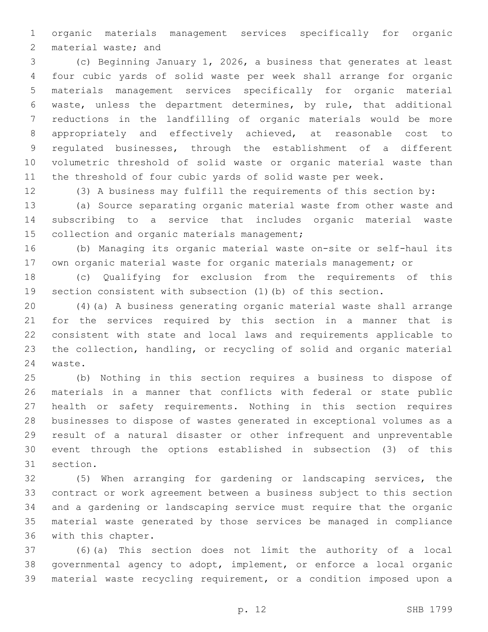organic materials management services specifically for organic 2 material waste; and

 (c) Beginning January 1, 2026, a business that generates at least four cubic yards of solid waste per week shall arrange for organic materials management services specifically for organic material waste, unless the department determines, by rule, that additional reductions in the landfilling of organic materials would be more appropriately and effectively achieved, at reasonable cost to regulated businesses, through the establishment of a different volumetric threshold of solid waste or organic material waste than the threshold of four cubic yards of solid waste per week.

(3) A business may fulfill the requirements of this section by:

 (a) Source separating organic material waste from other waste and subscribing to a service that includes organic material waste 15 collection and organic materials management;

 (b) Managing its organic material waste on-site or self-haul its own organic material waste for organic materials management; or

 (c) Qualifying for exclusion from the requirements of this section consistent with subsection (1)(b) of this section.

 (4)(a) A business generating organic material waste shall arrange for the services required by this section in a manner that is consistent with state and local laws and requirements applicable to the collection, handling, or recycling of solid and organic material 24 waste.

 (b) Nothing in this section requires a business to dispose of materials in a manner that conflicts with federal or state public health or safety requirements. Nothing in this section requires businesses to dispose of wastes generated in exceptional volumes as a result of a natural disaster or other infrequent and unpreventable event through the options established in subsection (3) of this 31 section.

 (5) When arranging for gardening or landscaping services, the contract or work agreement between a business subject to this section and a gardening or landscaping service must require that the organic material waste generated by those services be managed in compliance 36 with this chapter.

 (6)(a) This section does not limit the authority of a local governmental agency to adopt, implement, or enforce a local organic material waste recycling requirement, or a condition imposed upon a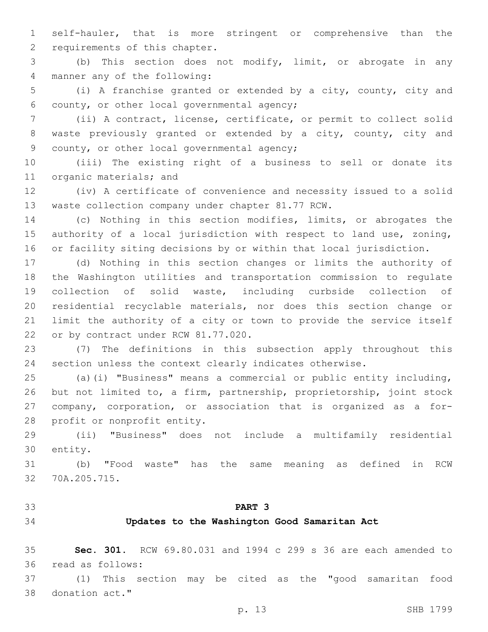self-hauler, that is more stringent or comprehensive than the 2 requirements of this chapter.

 (b) This section does not modify, limit, or abrogate in any 4 manner any of the following:

 (i) A franchise granted or extended by a city, county, city and 6 county, or other local governmental agency;

 (ii) A contract, license, certificate, or permit to collect solid waste previously granted or extended by a city, county, city and 9 county, or other local governmental agency;

 (iii) The existing right of a business to sell or donate its 11 organic materials; and

 (iv) A certificate of convenience and necessity issued to a solid 13 waste collection company under chapter 81.77 RCW.

 (c) Nothing in this section modifies, limits, or abrogates the authority of a local jurisdiction with respect to land use, zoning, or facility siting decisions by or within that local jurisdiction.

 (d) Nothing in this section changes or limits the authority of the Washington utilities and transportation commission to regulate collection of solid waste, including curbside collection of residential recyclable materials, nor does this section change or limit the authority of a city or town to provide the service itself 22 or by contract under RCW 81.77.020.

 (7) The definitions in this subsection apply throughout this section unless the context clearly indicates otherwise.

 (a)(i) "Business" means a commercial or public entity including, but not limited to, a firm, partnership, proprietorship, joint stock company, corporation, or association that is organized as a for-28 profit or nonprofit entity.

 (ii) "Business" does not include a multifamily residential 30 entity.

 (b) "Food waste" has the same meaning as defined in RCW 32 70A.205.715.

# **PART 3**

### **Updates to the Washington Good Samaritan Act**

 **Sec. 301.** RCW 69.80.031 and 1994 c 299 s 36 are each amended to 36 read as follows:

 (1) This section may be cited as the "good samaritan food 38 donation act."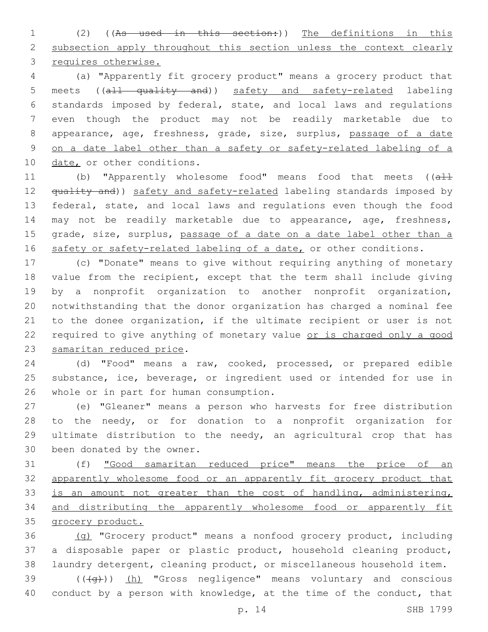(2) ((As used in this section:)) The definitions in this 2 subsection apply throughout this section unless the context clearly requires otherwise.

 (a) "Apparently fit grocery product" means a grocery product that meets ((all quality and)) safety and safety-related labeling standards imposed by federal, state, and local laws and regulations even though the product may not be readily marketable due to appearance, age, freshness, grade, size, surplus, passage of a date on a date label other than a safety or safety-related labeling of a 10 date, or other conditions.

11 (b) "Apparently wholesome food" means food that meets ((all 12 <del>quality and</del>)) safety and safety-related labeling standards imposed by federal, state, and local laws and regulations even though the food may not be readily marketable due to appearance, age, freshness, 15 grade, size, surplus, passage of a date on a date label other than a 16 safety or safety-related labeling of a date, or other conditions.

 (c) "Donate" means to give without requiring anything of monetary value from the recipient, except that the term shall include giving by a nonprofit organization to another nonprofit organization, notwithstanding that the donor organization has charged a nominal fee to the donee organization, if the ultimate recipient or user is not 22 required to give anything of monetary value or is charged only a good 23 samaritan reduced price.

 (d) "Food" means a raw, cooked, processed, or prepared edible substance, ice, beverage, or ingredient used or intended for use in 26 whole or in part for human consumption.

 (e) "Gleaner" means a person who harvests for free distribution to the needy, or for donation to a nonprofit organization for ultimate distribution to the needy, an agricultural crop that has 30 been donated by the owner.

 (f) "Good samaritan reduced price" means the price of an apparently wholesome food or an apparently fit grocery product that 33 is an amount not greater than the cost of handling, administering, and distributing the apparently wholesome food or apparently fit grocery product.

 (g) "Grocery product" means a nonfood grocery product, including a disposable paper or plastic product, household cleaning product, laundry detergent, cleaning product, or miscellaneous household item.

 ( $(\overline{+q})$ ) (h) "Gross negligence" means voluntary and conscious conduct by a person with knowledge, at the time of the conduct, that

p. 14 SHB 1799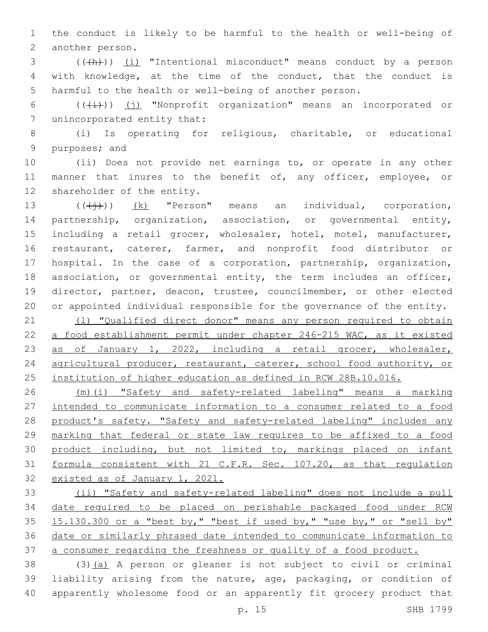the conduct is likely to be harmful to the health or well-being of 2 another person.

3 (((+h))) (i) "Intentional misconduct" means conduct by a person with knowledge, at the time of the conduct, that the conduct is harmful to the health or well-being of another person.

6 ( $(\frac{1}{i})$ ) (j) "Nonprofit organization" means an incorporated or 7 unincorporated entity that:

 (i) Is operating for religious, charitable, or educational 9 purposes; and

 (ii) Does not provide net earnings to, or operate in any other 11 manner that inures to the benefit of, any officer, employee, or 12 shareholder of the entity.

 (((j))) (k) "Person" means an individual, corporation, partnership, organization, association, or governmental entity, including a retail grocer, wholesaler, hotel, motel, manufacturer, restaurant, caterer, farmer, and nonprofit food distributor or hospital. In the case of a corporation, partnership, organization, association, or governmental entity, the term includes an officer, director, partner, deacon, trustee, councilmember, or other elected or appointed individual responsible for the governance of the entity.

21 (1) "Qualified direct donor" means any person required to obtain a food establishment permit under chapter 246-215 WAC, as it existed as of January 1, 2022, including a retail grocer, wholesaler, 24 agricultural producer, restaurant, caterer, school food authority, or institution of higher education as defined in RCW 28B.10.016.

 (m)(i) "Safety and safety-related labeling" means a marking intended to communicate information to a consumer related to a food 28 product's safety. "Safety and safety-related labeling" includes any marking that federal or state law requires to be affixed to a food 30 product including, but not limited to, markings placed on infant formula consistent with 21 C.F.R. Sec. 107.20, as that regulation existed as of January 1, 2021.

 (ii) "Safety and safety-related labeling" does not include a pull date required to be placed on perishable packaged food under RCW 15.130.300 or a "best by," "best if used by," "use by," or "sell by" date or similarly phrased date intended to communicate information to a consumer regarding the freshness or quality of a food product.

 (3)(a) A person or gleaner is not subject to civil or criminal liability arising from the nature, age, packaging, or condition of apparently wholesome food or an apparently fit grocery product that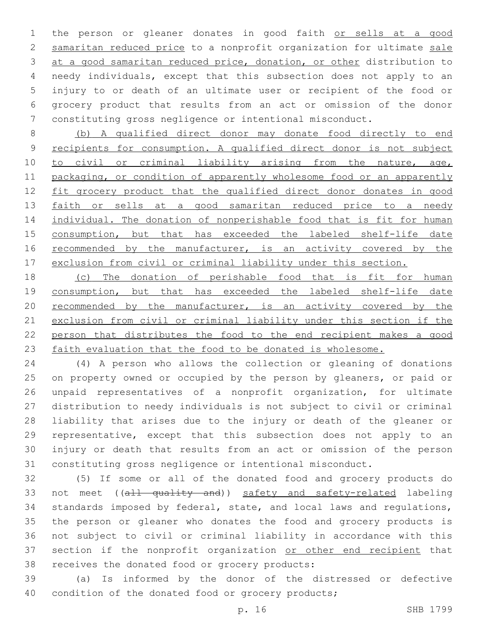the person or gleaner donates in good faith or sells at a good samaritan reduced price to a nonprofit organization for ultimate sale at a good samaritan reduced price, donation, or other distribution to needy individuals, except that this subsection does not apply to an injury to or death of an ultimate user or recipient of the food or grocery product that results from an act or omission of the donor constituting gross negligence or intentional misconduct.

 (b) A qualified direct donor may donate food directly to end recipients for consumption. A qualified direct donor is not subject 10 to civil or criminal liability arising from the nature, age, packaging, or condition of apparently wholesome food or an apparently 12 fit grocery product that the qualified direct donor donates in good 13 faith or sells at a good samaritan reduced price to a needy 14 individual. The donation of nonperishable food that is fit for human 15 consumption, but that has exceeded the labeled shelf-life date 16 recommended by the manufacturer, is an activity covered by the exclusion from civil or criminal liability under this section.

 (c) The donation of perishable food that is fit for human 19 consumption, but that has exceeded the labeled shelf-life date recommended by the manufacturer, is an activity covered by the exclusion from civil or criminal liability under this section if the person that distributes the food to the end recipient makes a good 23 faith evaluation that the food to be donated is wholesome.

 (4) A person who allows the collection or gleaning of donations 25 on property owned or occupied by the person by gleaners, or paid or unpaid representatives of a nonprofit organization, for ultimate distribution to needy individuals is not subject to civil or criminal liability that arises due to the injury or death of the gleaner or representative, except that this subsection does not apply to an injury or death that results from an act or omission of the person constituting gross negligence or intentional misconduct.

 (5) If some or all of the donated food and grocery products do 33 not meet ((all quality and)) safety and safety-related labeling standards imposed by federal, state, and local laws and regulations, the person or gleaner who donates the food and grocery products is not subject to civil or criminal liability in accordance with this 37 section if the nonprofit organization or other end recipient that 38 receives the donated food or grocery products:

 (a) Is informed by the donor of the distressed or defective 40 condition of the donated food or grocery products;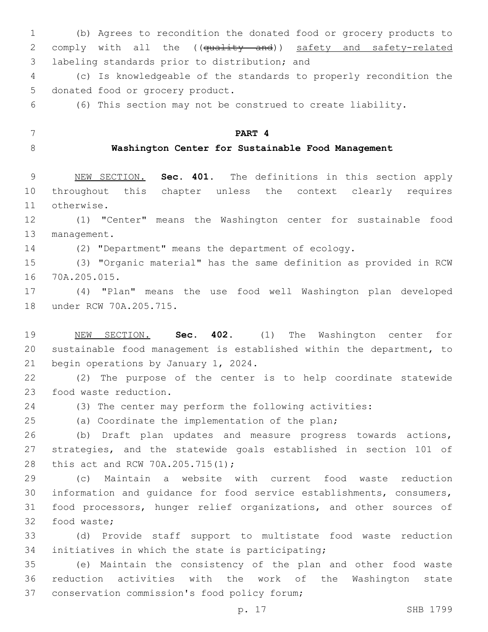(b) Agrees to recondition the donated food or grocery products to 2 comply with all the ((quality and)) safety and safety-related 3 labeling standards prior to distribution; and

 (c) Is knowledgeable of the standards to properly recondition the 5 donated food or grocery product.

(6) This section may not be construed to create liability.

**PART 4**

# **Washington Center for Sustainable Food Management**

 NEW SECTION. **Sec. 401.** The definitions in this section apply throughout this chapter unless the context clearly requires otherwise.

 (1) "Center" means the Washington center for sustainable food 13 management.

(2) "Department" means the department of ecology.

 (3) "Organic material" has the same definition as provided in RCW 70A.205.015.16

 (4) "Plan" means the use food well Washington plan developed 18 under RCW 70A.205.715.

 NEW SECTION. **Sec. 402.** (1) The Washington center for sustainable food management is established within the department, to begin operations by January 1, 2024.

 (2) The purpose of the center is to help coordinate statewide 23 food waste reduction.

(3) The center may perform the following activities:

(a) Coordinate the implementation of the plan;

 (b) Draft plan updates and measure progress towards actions, strategies, and the statewide goals established in section 101 of 28 this act and RCW 70A.205.715(1);

 (c) Maintain a website with current food waste reduction information and guidance for food service establishments, consumers, food processors, hunger relief organizations, and other sources of 32 food waste;

 (d) Provide staff support to multistate food waste reduction 34 initiatives in which the state is participating;

 (e) Maintain the consistency of the plan and other food waste reduction activities with the work of the Washington state 37 conservation commission's food policy forum;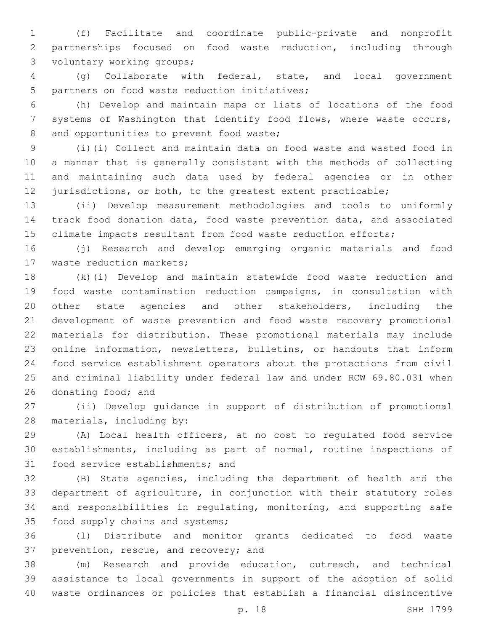(f) Facilitate and coordinate public-private and nonprofit partnerships focused on food waste reduction, including through 3 voluntary working groups;

 (g) Collaborate with federal, state, and local government 5 partners on food waste reduction initiatives;

 (h) Develop and maintain maps or lists of locations of the food systems of Washington that identify food flows, where waste occurs, 8 and opportunities to prevent food waste;

 (i)(i) Collect and maintain data on food waste and wasted food in a manner that is generally consistent with the methods of collecting and maintaining such data used by federal agencies or in other 12 jurisdictions, or both, to the greatest extent practicable;

 (ii) Develop measurement methodologies and tools to uniformly track food donation data, food waste prevention data, and associated 15 climate impacts resultant from food waste reduction efforts;

 (j) Research and develop emerging organic materials and food 17 waste reduction markets;

 (k)(i) Develop and maintain statewide food waste reduction and food waste contamination reduction campaigns, in consultation with other state agencies and other stakeholders, including the development of waste prevention and food waste recovery promotional materials for distribution. These promotional materials may include online information, newsletters, bulletins, or handouts that inform food service establishment operators about the protections from civil and criminal liability under federal law and under RCW 69.80.031 when 26 donating food; and

 (ii) Develop guidance in support of distribution of promotional 28 materials, including by:

 (A) Local health officers, at no cost to regulated food service establishments, including as part of normal, routine inspections of 31 food service establishments; and

 (B) State agencies, including the department of health and the department of agriculture, in conjunction with their statutory roles and responsibilities in regulating, monitoring, and supporting safe 35 food supply chains and systems;

 (l) Distribute and monitor grants dedicated to food waste 37 prevention, rescue, and recovery; and

 (m) Research and provide education, outreach, and technical assistance to local governments in support of the adoption of solid waste ordinances or policies that establish a financial disincentive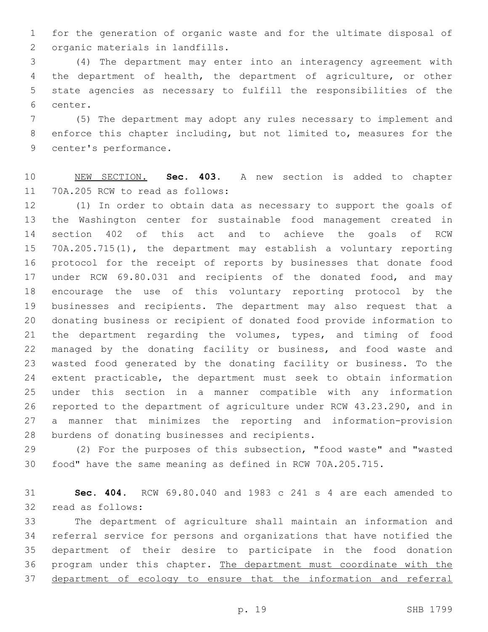for the generation of organic waste and for the ultimate disposal of 2 organic materials in landfills.

 (4) The department may enter into an interagency agreement with the department of health, the department of agriculture, or other state agencies as necessary to fulfill the responsibilities of the 6 center.

 (5) The department may adopt any rules necessary to implement and enforce this chapter including, but not limited to, measures for the 9 center's performance.

 NEW SECTION. **Sec. 403.** A new section is added to chapter 11 70A.205 RCW to read as follows:

 (1) In order to obtain data as necessary to support the goals of the Washington center for sustainable food management created in section 402 of this act and to achieve the goals of RCW 70A.205.715(1), the department may establish a voluntary reporting protocol for the receipt of reports by businesses that donate food under RCW 69.80.031 and recipients of the donated food, and may encourage the use of this voluntary reporting protocol by the businesses and recipients. The department may also request that a donating business or recipient of donated food provide information to the department regarding the volumes, types, and timing of food managed by the donating facility or business, and food waste and wasted food generated by the donating facility or business. To the extent practicable, the department must seek to obtain information under this section in a manner compatible with any information reported to the department of agriculture under RCW 43.23.290, and in a manner that minimizes the reporting and information-provision 28 burdens of donating businesses and recipients.

 (2) For the purposes of this subsection, "food waste" and "wasted food" have the same meaning as defined in RCW 70A.205.715.

 **Sec. 404.** RCW 69.80.040 and 1983 c 241 s 4 are each amended to 32 read as follows:

 The department of agriculture shall maintain an information and referral service for persons and organizations that have notified the department of their desire to participate in the food donation 36 program under this chapter. The department must coordinate with the department of ecology to ensure that the information and referral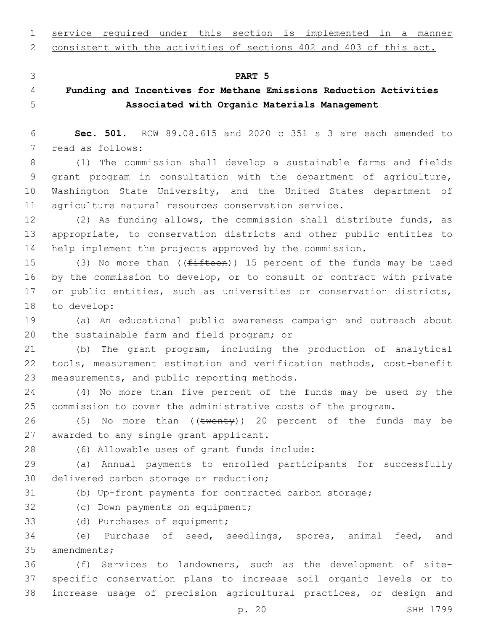service required under this section is implemented in a manner

consistent with the activities of sections 402 and 403 of this act.

#### **PART 5**

# **Funding and Incentives for Methane Emissions Reduction Activities Associated with Organic Materials Management**

 **Sec. 501.** RCW 89.08.615 and 2020 c 351 s 3 are each amended to 7 read as follows:

 (1) The commission shall develop a sustainable farms and fields grant program in consultation with the department of agriculture, Washington State University, and the United States department of agriculture natural resources conservation service.

 (2) As funding allows, the commission shall distribute funds, as appropriate, to conservation districts and other public entities to help implement the projects approved by the commission.

15 (3) No more than ((fifteen)) 15 percent of the funds may be used by the commission to develop, or to consult or contract with private 17 or public entities, such as universities or conservation districts, 18 to develop:

 (a) An educational public awareness campaign and outreach about 20 the sustainable farm and field program; or

 (b) The grant program, including the production of analytical tools, measurement estimation and verification methods, cost-benefit 23 measurements, and public reporting methods.

 (4) No more than five percent of the funds may be used by the commission to cover the administrative costs of the program.

26 (5) No more than ((twenty)) 20 percent of the funds may be 27 awarded to any single grant applicant.

(6) Allowable uses of grant funds include:28

 (a) Annual payments to enrolled participants for successfully 30 delivered carbon storage or reduction;

(b) Up-front payments for contracted carbon storage;

32 (c) Down payments on equipment;

33 (d) Purchases of equipment;

 (e) Purchase of seed, seedlings, spores, animal feed, and 35 amendments;

 (f) Services to landowners, such as the development of site- specific conservation plans to increase soil organic levels or to increase usage of precision agricultural practices, or design and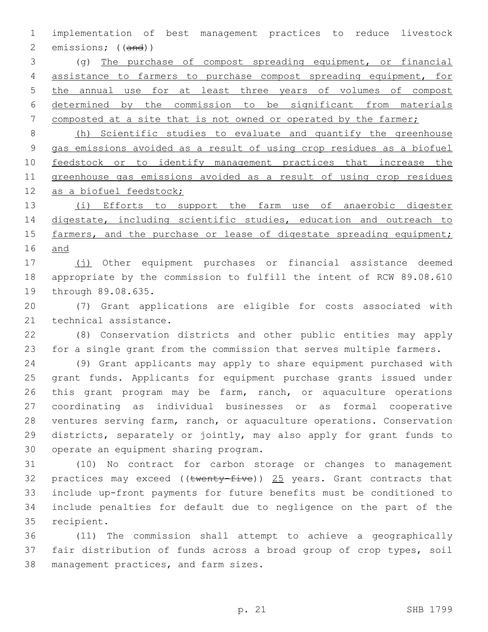implementation of best management practices to reduce livestock emissions; ((and))

 (g) The purchase of compost spreading equipment, or financial assistance to farmers to purchase compost spreading equipment, for the annual use for at least three years of volumes of compost determined by the commission to be significant from materials 7 composted at a site that is not owned or operated by the farmer;

 (h) Scientific studies to evaluate and quantify the greenhouse gas emissions avoided as a result of using crop residues as a biofuel feedstock or to identify management practices that increase the greenhouse gas emissions avoided as a result of using crop residues 12 as a biofuel feedstock;

13 (i) Efforts to support the farm use of anaerobic digester 14 digestate, including scientific studies, education and outreach to 15 farmers, and the purchase or lease of digestate spreading equipment; and

17 (i) Other equipment purchases or financial assistance deemed appropriate by the commission to fulfill the intent of RCW 89.08.610 19 through 89.08.635.

 (7) Grant applications are eligible for costs associated with 21 technical assistance.

 (8) Conservation districts and other public entities may apply for a single grant from the commission that serves multiple farmers.

 (9) Grant applicants may apply to share equipment purchased with grant funds. Applicants for equipment purchase grants issued under this grant program may be farm, ranch, or aquaculture operations coordinating as individual businesses or as formal cooperative ventures serving farm, ranch, or aquaculture operations. Conservation districts, separately or jointly, may also apply for grant funds to 30 operate an equipment sharing program.

 (10) No contract for carbon storage or changes to management 32 practices may exceed (( $t$ wenty-five)) 25 years. Grant contracts that include up-front payments for future benefits must be conditioned to include penalties for default due to negligence on the part of the 35 recipient.

 (11) The commission shall attempt to achieve a geographically fair distribution of funds across a broad group of crop types, soil 38 management practices, and farm sizes.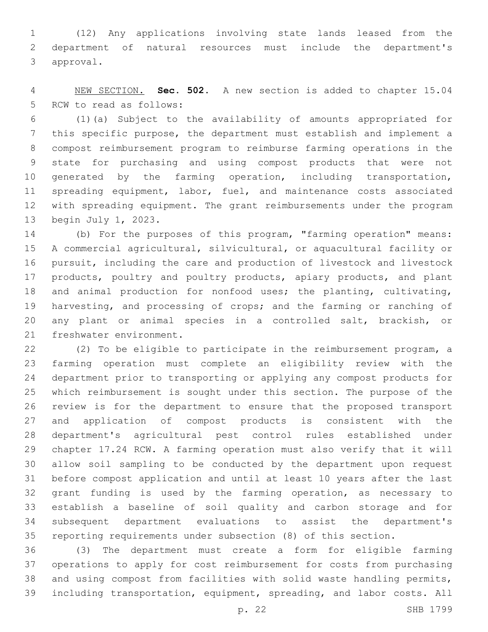(12) Any applications involving state lands leased from the department of natural resources must include the department's 3 approval.

 NEW SECTION. **Sec. 502.** A new section is added to chapter 15.04 5 RCW to read as follows:

 (1)(a) Subject to the availability of amounts appropriated for this specific purpose, the department must establish and implement a compost reimbursement program to reimburse farming operations in the state for purchasing and using compost products that were not 10 generated by the farming operation, including transportation, 11 spreading equipment, labor, fuel, and maintenance costs associated with spreading equipment. The grant reimbursements under the program 13 begin July 1, 2023.

 (b) For the purposes of this program, "farming operation" means: A commercial agricultural, silvicultural, or aquacultural facility or pursuit, including the care and production of livestock and livestock 17 products, poultry and poultry products, apiary products, and plant and animal production for nonfood uses; the planting, cultivating, harvesting, and processing of crops; and the farming or ranching of any plant or animal species in a controlled salt, brackish, or 21 freshwater environment.

 (2) To be eligible to participate in the reimbursement program, a farming operation must complete an eligibility review with the department prior to transporting or applying any compost products for which reimbursement is sought under this section. The purpose of the review is for the department to ensure that the proposed transport and application of compost products is consistent with the department's agricultural pest control rules established under chapter 17.24 RCW. A farming operation must also verify that it will allow soil sampling to be conducted by the department upon request before compost application and until at least 10 years after the last grant funding is used by the farming operation, as necessary to establish a baseline of soil quality and carbon storage and for subsequent department evaluations to assist the department's reporting requirements under subsection (8) of this section.

 (3) The department must create a form for eligible farming operations to apply for cost reimbursement for costs from purchasing and using compost from facilities with solid waste handling permits, including transportation, equipment, spreading, and labor costs. All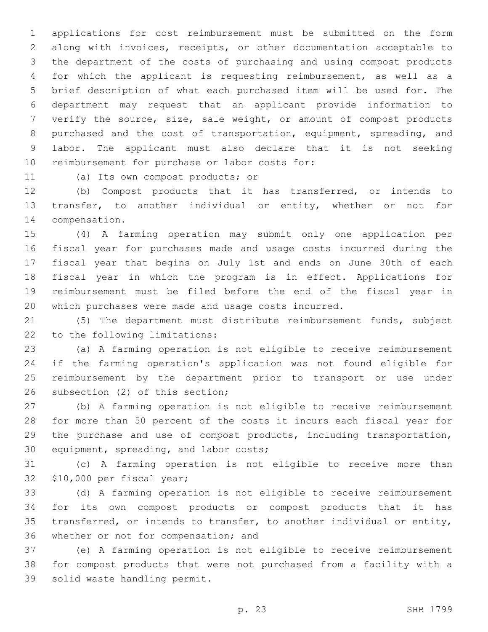applications for cost reimbursement must be submitted on the form along with invoices, receipts, or other documentation acceptable to the department of the costs of purchasing and using compost products for which the applicant is requesting reimbursement, as well as a brief description of what each purchased item will be used for. The department may request that an applicant provide information to verify the source, size, sale weight, or amount of compost products purchased and the cost of transportation, equipment, spreading, and labor. The applicant must also declare that it is not seeking 10 reimbursement for purchase or labor costs for:

11 (a) Its own compost products; or

 (b) Compost products that it has transferred, or intends to transfer, to another individual or entity, whether or not for 14 compensation.

 (4) A farming operation may submit only one application per fiscal year for purchases made and usage costs incurred during the fiscal year that begins on July 1st and ends on June 30th of each fiscal year in which the program is in effect. Applications for reimbursement must be filed before the end of the fiscal year in which purchases were made and usage costs incurred.

 (5) The department must distribute reimbursement funds, subject 22 to the following limitations:

 (a) A farming operation is not eligible to receive reimbursement if the farming operation's application was not found eligible for reimbursement by the department prior to transport or use under 26 subsection (2) of this section;

 (b) A farming operation is not eligible to receive reimbursement for more than 50 percent of the costs it incurs each fiscal year for the purchase and use of compost products, including transportation, 30 equipment, spreading, and labor costs;

 (c) A farming operation is not eligible to receive more than 32 \$10,000 per fiscal year;

 (d) A farming operation is not eligible to receive reimbursement for its own compost products or compost products that it has transferred, or intends to transfer, to another individual or entity, 36 whether or not for compensation; and

 (e) A farming operation is not eligible to receive reimbursement for compost products that were not purchased from a facility with a 39 solid waste handling permit.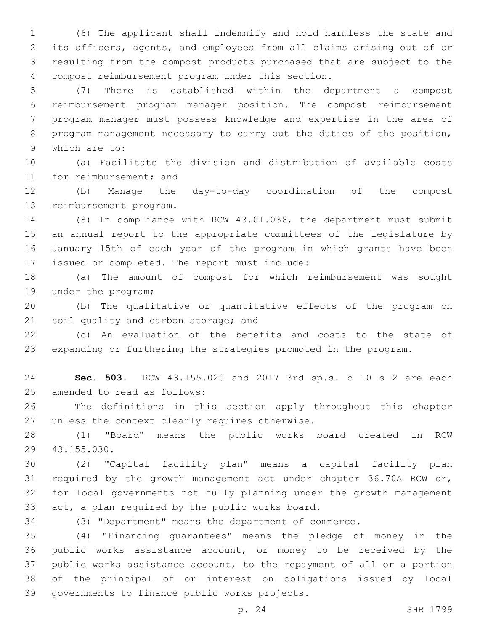(6) The applicant shall indemnify and hold harmless the state and its officers, agents, and employees from all claims arising out of or resulting from the compost products purchased that are subject to the compost reimbursement program under this section.4

 (7) There is established within the department a compost reimbursement program manager position. The compost reimbursement program manager must possess knowledge and expertise in the area of program management necessary to carry out the duties of the position, 9 which are to:

 (a) Facilitate the division and distribution of available costs 11 for reimbursement; and

 (b) Manage the day-to-day coordination of the compost 13 reimbursement program.

 (8) In compliance with RCW 43.01.036, the department must submit an annual report to the appropriate committees of the legislature by January 15th of each year of the program in which grants have been 17 issued or completed. The report must include:

 (a) The amount of compost for which reimbursement was sought 19 under the program;

 (b) The qualitative or quantitative effects of the program on 21 soil quality and carbon storage; and

 (c) An evaluation of the benefits and costs to the state of expanding or furthering the strategies promoted in the program.

 **Sec. 503.** RCW 43.155.020 and 2017 3rd sp.s. c 10 s 2 are each 25 amended to read as follows:

 The definitions in this section apply throughout this chapter 27 unless the context clearly requires otherwise.

 (1) "Board" means the public works board created in RCW 43.155.030.29

 (2) "Capital facility plan" means a capital facility plan required by the growth management act under chapter 36.70A RCW or, for local governments not fully planning under the growth management 33 act, a plan required by the public works board.

(3) "Department" means the department of commerce.

 (4) "Financing guarantees" means the pledge of money in the public works assistance account, or money to be received by the public works assistance account, to the repayment of all or a portion of the principal of or interest on obligations issued by local 39 governments to finance public works projects.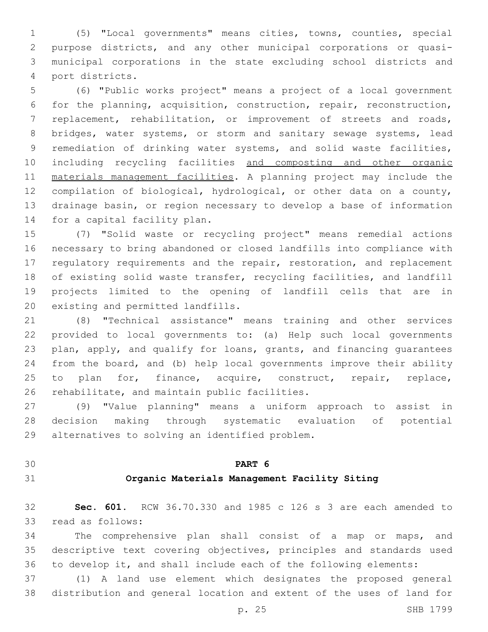(5) "Local governments" means cities, towns, counties, special purpose districts, and any other municipal corporations or quasi- municipal corporations in the state excluding school districts and port districts.4

 (6) "Public works project" means a project of a local government for the planning, acquisition, construction, repair, reconstruction, replacement, rehabilitation, or improvement of streets and roads, 8 bridges, water systems, or storm and sanitary sewage systems, lead remediation of drinking water systems, and solid waste facilities, including recycling facilities and composting and other organic materials management facilities. A planning project may include the compilation of biological, hydrological, or other data on a county, drainage basin, or region necessary to develop a base of information 14 for a capital facility plan.

 (7) "Solid waste or recycling project" means remedial actions necessary to bring abandoned or closed landfills into compliance with 17 regulatory requirements and the repair, restoration, and replacement of existing solid waste transfer, recycling facilities, and landfill projects limited to the opening of landfill cells that are in 20 existing and permitted landfills.

 (8) "Technical assistance" means training and other services provided to local governments to: (a) Help such local governments plan, apply, and qualify for loans, grants, and financing guarantees from the board, and (b) help local governments improve their ability 25 to plan for, finance, acquire, construct, repair, replace, 26 rehabilitate, and maintain public facilities.

 (9) "Value planning" means a uniform approach to assist in decision making through systematic evaluation of potential 29 alternatives to solving an identified problem.

# **PART 6**

## **Organic Materials Management Facility Siting**

 **Sec. 601.** RCW 36.70.330 and 1985 c 126 s 3 are each amended to 33 read as follows:

 The comprehensive plan shall consist of a map or maps, and descriptive text covering objectives, principles and standards used to develop it, and shall include each of the following elements:

 (1) A land use element which designates the proposed general distribution and general location and extent of the uses of land for

p. 25 SHB 1799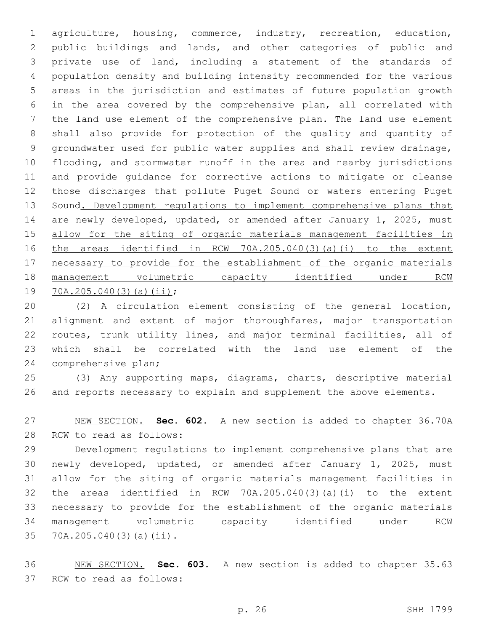agriculture, housing, commerce, industry, recreation, education, public buildings and lands, and other categories of public and private use of land, including a statement of the standards of population density and building intensity recommended for the various areas in the jurisdiction and estimates of future population growth in the area covered by the comprehensive plan, all correlated with the land use element of the comprehensive plan. The land use element shall also provide for protection of the quality and quantity of groundwater used for public water supplies and shall review drainage, flooding, and stormwater runoff in the area and nearby jurisdictions and provide guidance for corrective actions to mitigate or cleanse those discharges that pollute Puget Sound or waters entering Puget Sound. Development regulations to implement comprehensive plans that 14 are newly developed, updated, or amended after January 1, 2025, must allow for the siting of organic materials management facilities in the areas identified in RCW 70A.205.040(3)(a)(i) to the extent necessary to provide for the establishment of the organic materials management volumetric capacity identified under RCW 19 70A.205.040(3)(a)(ii);

 (2) A circulation element consisting of the general location, 21 alignment and extent of major thoroughfares, major transportation routes, trunk utility lines, and major terminal facilities, all of which shall be correlated with the land use element of the 24 comprehensive plan;

 (3) Any supporting maps, diagrams, charts, descriptive material and reports necessary to explain and supplement the above elements.

 NEW SECTION. **Sec. 602.** A new section is added to chapter 36.70A 28 RCW to read as follows:

 Development regulations to implement comprehensive plans that are newly developed, updated, or amended after January 1, 2025, must allow for the siting of organic materials management facilities in the areas identified in RCW 70A.205.040(3)(a)(i) to the extent necessary to provide for the establishment of the organic materials management volumetric capacity identified under RCW 35 70A.205.040(3)(a)(ii).

 NEW SECTION. **Sec. 603.** A new section is added to chapter 35.63 37 RCW to read as follows: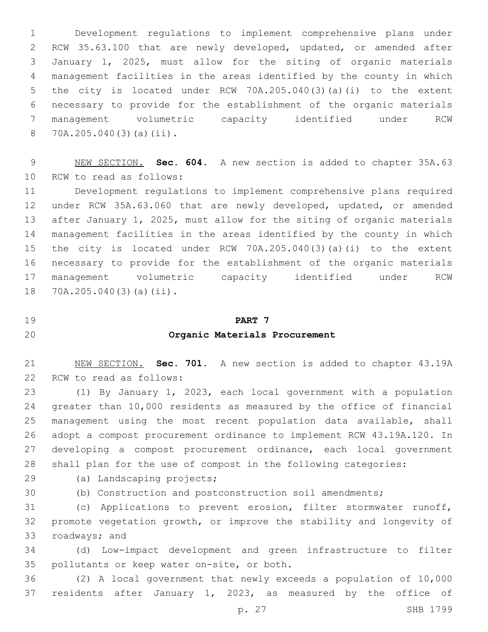Development regulations to implement comprehensive plans under RCW 35.63.100 that are newly developed, updated, or amended after January 1, 2025, must allow for the siting of organic materials management facilities in the areas identified by the county in which the city is located under RCW 70A.205.040(3)(a)(i) to the extent necessary to provide for the establishment of the organic materials management volumetric capacity identified under RCW 70A.205.040(3)(a)(ii).8

 NEW SECTION. **Sec. 604.** A new section is added to chapter 35A.63 10 RCW to read as follows:

 Development regulations to implement comprehensive plans required under RCW 35A.63.060 that are newly developed, updated, or amended after January 1, 2025, must allow for the siting of organic materials management facilities in the areas identified by the county in which the city is located under RCW 70A.205.040(3)(a)(i) to the extent necessary to provide for the establishment of the organic materials management volumetric capacity identified under RCW 18 70A.205.040(3)(a)(ii).

# **PART 7**

## **Organic Materials Procurement**

 NEW SECTION. **Sec. 701.** A new section is added to chapter 43.19A 22 RCW to read as follows:

 (1) By January 1, 2023, each local government with a population greater than 10,000 residents as measured by the office of financial management using the most recent population data available, shall adopt a compost procurement ordinance to implement RCW 43.19A.120. In developing a compost procurement ordinance, each local government shall plan for the use of compost in the following categories:

29 (a) Landscaping projects;

(b) Construction and postconstruction soil amendments;

 (c) Applications to prevent erosion, filter stormwater runoff, promote vegetation growth, or improve the stability and longevity of 33 roadways; and

 (d) Low-impact development and green infrastructure to filter 35 pollutants or keep water on-site, or both.

 (2) A local government that newly exceeds a population of 10,000 residents after January 1, 2023, as measured by the office of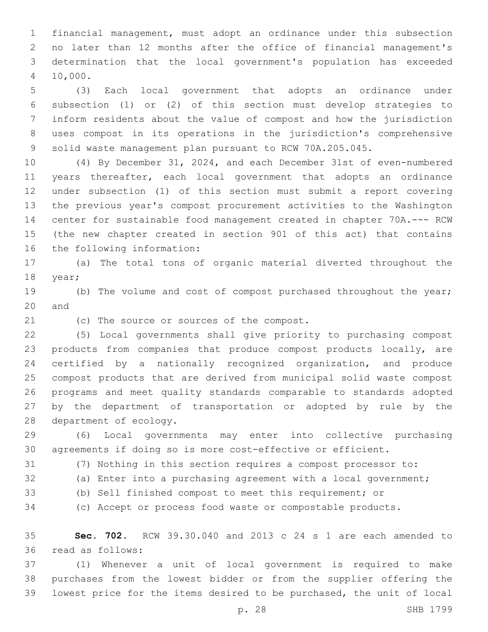financial management, must adopt an ordinance under this subsection no later than 12 months after the office of financial management's determination that the local government's population has exceeded 10,000.4

 (3) Each local government that adopts an ordinance under subsection (1) or (2) of this section must develop strategies to inform residents about the value of compost and how the jurisdiction uses compost in its operations in the jurisdiction's comprehensive solid waste management plan pursuant to RCW 70A.205.045.

 (4) By December 31, 2024, and each December 31st of even-numbered years thereafter, each local government that adopts an ordinance under subsection (1) of this section must submit a report covering the previous year's compost procurement activities to the Washington center for sustainable food management created in chapter 70A.--- RCW (the new chapter created in section 901 of this act) that contains 16 the following information:

 (a) The total tons of organic material diverted throughout the 18 year;

19 (b) The volume and cost of compost purchased throughout the year; 20 and

21 (c) The source or sources of the compost.

 (5) Local governments shall give priority to purchasing compost products from companies that produce compost products locally, are certified by a nationally recognized organization, and produce compost products that are derived from municipal solid waste compost programs and meet quality standards comparable to standards adopted by the department of transportation or adopted by rule by the 28 department of ecology.

 (6) Local governments may enter into collective purchasing agreements if doing so is more cost-effective or efficient.

(7) Nothing in this section requires a compost processor to:

- 
- (a) Enter into a purchasing agreement with a local government;
- 
- (b) Sell finished compost to meet this requirement; or

(c) Accept or process food waste or compostable products.

 **Sec. 702.** RCW 39.30.040 and 2013 c 24 s 1 are each amended to read as follows:36

 (1) Whenever a unit of local government is required to make purchases from the lowest bidder or from the supplier offering the lowest price for the items desired to be purchased, the unit of local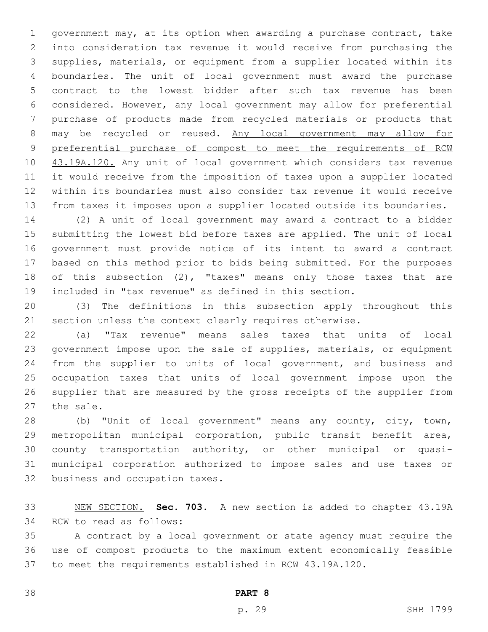government may, at its option when awarding a purchase contract, take into consideration tax revenue it would receive from purchasing the supplies, materials, or equipment from a supplier located within its boundaries. The unit of local government must award the purchase contract to the lowest bidder after such tax revenue has been considered. However, any local government may allow for preferential purchase of products made from recycled materials or products that may be recycled or reused. Any local government may allow for preferential purchase of compost to meet the requirements of RCW 10 43.19A.120. Any unit of local government which considers tax revenue it would receive from the imposition of taxes upon a supplier located within its boundaries must also consider tax revenue it would receive from taxes it imposes upon a supplier located outside its boundaries.

 (2) A unit of local government may award a contract to a bidder submitting the lowest bid before taxes are applied. The unit of local government must provide notice of its intent to award a contract based on this method prior to bids being submitted. For the purposes of this subsection (2), "taxes" means only those taxes that are included in "tax revenue" as defined in this section.

 (3) The definitions in this subsection apply throughout this section unless the context clearly requires otherwise.

 (a) "Tax revenue" means sales taxes that units of local government impose upon the sale of supplies, materials, or equipment from the supplier to units of local government, and business and occupation taxes that units of local government impose upon the supplier that are measured by the gross receipts of the supplier from 27 the sale.

 (b) "Unit of local government" means any county, city, town, metropolitan municipal corporation, public transit benefit area, county transportation authority, or other municipal or quasi- municipal corporation authorized to impose sales and use taxes or 32 business and occupation taxes.

 NEW SECTION. **Sec. 703.** A new section is added to chapter 43.19A 34 RCW to read as follows:

 A contract by a local government or state agency must require the use of compost products to the maximum extent economically feasible to meet the requirements established in RCW 43.19A.120.

**PART 8**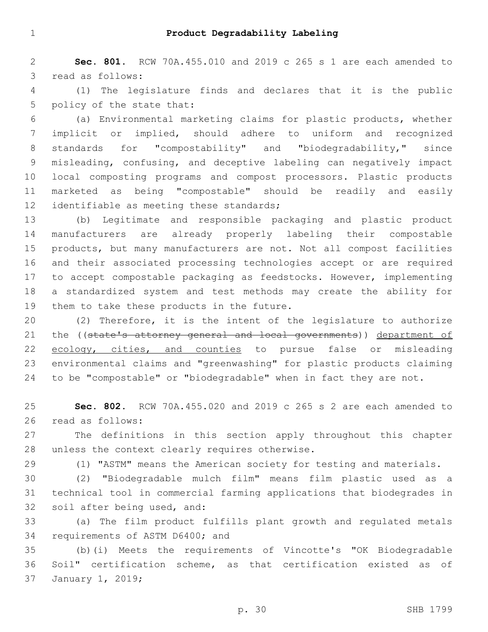**Sec. 801.** RCW 70A.455.010 and 2019 c 265 s 1 are each amended to 3 read as follows:

 (1) The legislature finds and declares that it is the public 5 policy of the state that:

 (a) Environmental marketing claims for plastic products, whether implicit or implied, should adhere to uniform and recognized standards for "compostability" and "biodegradability," since misleading, confusing, and deceptive labeling can negatively impact local composting programs and compost processors. Plastic products marketed as being "compostable" should be readily and easily 12 identifiable as meeting these standards;

 (b) Legitimate and responsible packaging and plastic product manufacturers are already properly labeling their compostable products, but many manufacturers are not. Not all compost facilities and their associated processing technologies accept or are required to accept compostable packaging as feedstocks. However, implementing a standardized system and test methods may create the ability for 19 them to take these products in the future.

 (2) Therefore, it is the intent of the legislature to authorize 21 the ((state's attorney general and local governments)) department of 22 ecology, cities, and counties to pursue false or misleading environmental claims and "greenwashing" for plastic products claiming 24 to be "compostable" or "biodegradable" when in fact they are not.

 **Sec. 802.** RCW 70A.455.020 and 2019 c 265 s 2 are each amended to 26 read as follows:

 The definitions in this section apply throughout this chapter 28 unless the context clearly requires otherwise.

(1) "ASTM" means the American society for testing and materials.

 (2) "Biodegradable mulch film" means film plastic used as a technical tool in commercial farming applications that biodegrades in 32 soil after being used, and:

 (a) The film product fulfills plant growth and regulated metals 34 requirements of ASTM D6400; and

 (b)(i) Meets the requirements of Vincotte's "OK Biodegradable Soil" certification scheme, as that certification existed as of 37 January 1, 2019;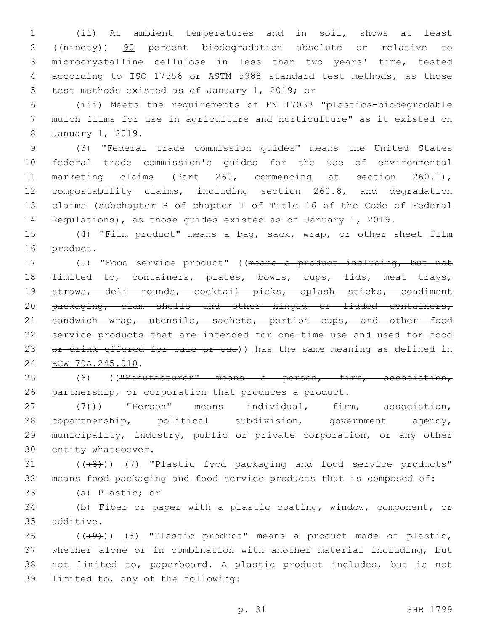1 (ii) At ambient temperatures and in soil, shows at least 2 ((ninety)) 90 percent biodegradation absolute or relative to 3 microcrystalline cellulose in less than two years' time, tested 4 according to ISO 17556 or ASTM 5988 standard test methods, as those 5 test methods existed as of January 1, 2019; or

6 (iii) Meets the requirements of EN 17033 "plastics-biodegradable 7 mulch films for use in agriculture and horticulture" as it existed on January 1, 2019.8

 (3) "Federal trade commission guides" means the United States federal trade commission's guides for the use of environmental marketing claims (Part 260, commencing at section 260.1), compostability claims, including section 260.8, and degradation claims (subchapter B of chapter I of Title 16 of the Code of Federal Regulations), as those guides existed as of January 1, 2019.

15 (4) "Film product" means a bag, sack, wrap, or other sheet film 16 product.

17 (5) "Food service product" ((means a product including, but not 18 <del>limited to, containers, plates, bowls, cups, lids, meat trays,</del> 19 straws, deli rounds, cocktail picks, splash sticks, condiment 20 packaging, clam shells and other hinged or lidded containers, 21 sandwich wrap, utensils, sachets, portion cups, and other food 22 service products that are intended for one-time use and used for food 23 or drink offered for sale or use)) has the same meaning as defined in 24 RCW 70A.245.010.

25 (6) (("Manufacturer" means a person, firm, association, 26 partnership, or corporation that produces a product.

27 (7)) "Person" means individual, firm, association, 28 copartnership, political subdivision, government agency, 29 municipality, industry, public or private corporation, or any other 30 entity whatsoever.

31 (((8)) (7) "Plastic food packaging and food service products" 32 means food packaging and food service products that is composed of:

33 (a) Plastic; or

34 (b) Fiber or paper with a plastic coating, window, component, or 35 additive.

36 (((49))) (8) "Plastic product" means a product made of plastic, 37 whether alone or in combination with another material including, but 38 not limited to, paperboard. A plastic product includes, but is not 39 limited to, any of the following: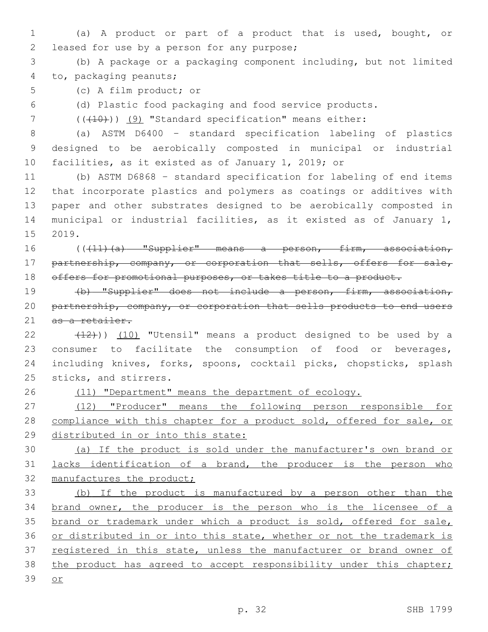- 1 (a) A product or part of a product that is used, bought, or 2 leased for use by a person for any purpose;
- 3 (b) A package or a packaging component including, but not limited 4 to, packaging peanuts;
- 5 (c) A film product; or

6 (d) Plastic food packaging and food service products.

7 (( $(410)$ ) (9) "Standard specification" means either:

8 (a) ASTM D6400 – standard specification labeling of plastics 9 designed to be aerobically composted in municipal or industrial 10 facilities, as it existed as of January 1, 2019; or

 (b) ASTM D6868 – standard specification for labeling of end items that incorporate plastics and polymers as coatings or additives with paper and other substrates designed to be aerobically composted in municipal or industrial facilities, as it existed as of January 1, 15 2019.

16 ((+11)(a) "Supplier" means a person, firm, association, 17 partnership, company, or corporation that sells, offers for sale, 18 offers for promotional purposes, or takes title to a product.

19 (b) "Supplier" does not include a person, firm, association, 20 partnership, company, or corporation that sells products to end users 21 as a retailer.

 $(12)$ ))  $(10)$  "Utensil" means a product designed to be used by a consumer to facilitate the consumption of food or beverages, including knives, forks, spoons, cocktail picks, chopsticks, splash 25 sticks, and stirrers.

26 (11) "Department" means the department of ecology.

27 (12) "Producer" means the following person responsible for 28 compliance with this chapter for a product sold, offered for sale, or 29 distributed in or into this state:

30 (a) If the product is sold under the manufacturer's own brand or 31 lacks identification of a brand, the producer is the person who 32 manufactures the product;

33 (b) If the product is manufactured by a person other than the 34 brand owner, the producer is the person who is the licensee of a 35 brand or trademark under which a product is sold, offered for sale, 36 or distributed in or into this state, whether or not the trademark is 37 registered in this state, unless the manufacturer or brand owner of 38 the product has agreed to accept responsibility under this chapter; 39 or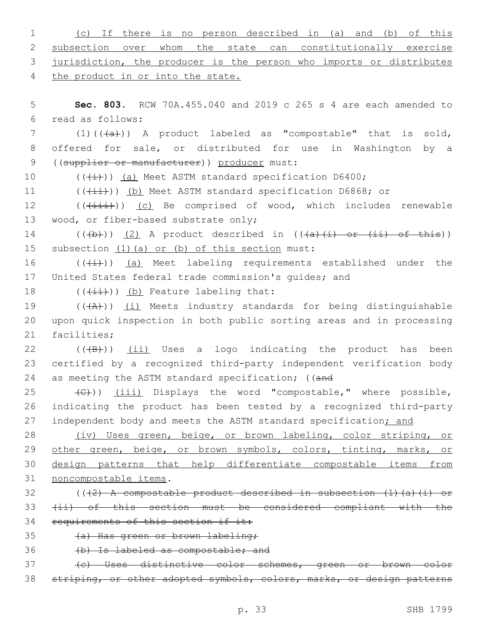| $\mathbf{1}$  | If there is no person described in (a) and<br>(b)<br>of this<br>(C)       |
|---------------|---------------------------------------------------------------------------|
| 2             | subsection over whom the state can constitutionally exercise              |
| 3             | jurisdiction, the producer is the person who imports or distributes       |
| 4             | the product in or into the state.                                         |
| 5             | Sec. 803. RCW 70A.455.040 and 2019 c 265 s 4 are each amended to          |
| 6             | read as follows:                                                          |
| 7             | $(1)$ $((+\alpha)^2)$ A product labeled as "compostable" that is sold,    |
| 8             | offered for sale, or distributed for use in Washington by a               |
| $\mathcal{G}$ | ((supplier or manufacturer)) producer must:                               |
| 10            | $((+i))$ (a) Meet ASTM standard specification D6400;                      |
| 11            | $((\overrightarrow{+i})$ ) (b) Meet ASTM standard specification D6868; or |
| 12            | $((+i+i))$ (c) Be comprised of wood, which includes renewable             |
| 13            | wood, or fiber-based substrate only;                                      |
| 14            | $((+b))$ (2) A product described in $((+a)+(i)$ or $(ii)$ of this))       |
| 15            | subsection (1) (a) or (b) of this section must:                           |
| 16            | $((+i))$ (a) Meet labeling requirements established under the             |
| 17            | United States federal trade commission's quides; and                      |
| 18            | $((+\pm\pm))$ (b) Feature labeling that:                                  |
| 19            | $((+A))$ (i) Meets industry standards for being distinguishable           |
| 20            | upon quick inspection in both public sorting areas and in processing      |
| 21            | facilities;                                                               |
| 22            | $((+B))$ (ii) Uses a logo indicating the product has<br>been              |
| 23            | certified by a recognized third-party independent verification body       |
| 24            | as meeting the ASTM standard specification; ((and                         |
| 25            | (C)) (iii) Displays the word "compostable," where possible,               |
| 26            | indicating the product has been tested by a recognized third-party        |
| 27            | independent body and meets the ASTM standard specification; and           |
| 28            | (iv) Uses green, beige, or brown labeling, color striping, or             |
| 29            | other green, beige, or brown symbols, colors, tinting, marks, or          |
| 30            | design patterns that help differentiate compostable items from            |
| 31            | noncompostable items.                                                     |
| 32            | $((2)$ A compostable product described in subsection $(1)$ (a) (i) or     |
| 33            | (ii) of this section must be considered compliant with the                |
| 34            | requirements of this section if it:                                       |
| 35            | (a) Has green or brown labeling;                                          |
| 36            | (b) Is labeled as compostable; and                                        |
| 37            | (c) Uses distinctive color schemes, green or brown color                  |
| 38            | striping, or other adopted symbols, colors, marks, or design patterns     |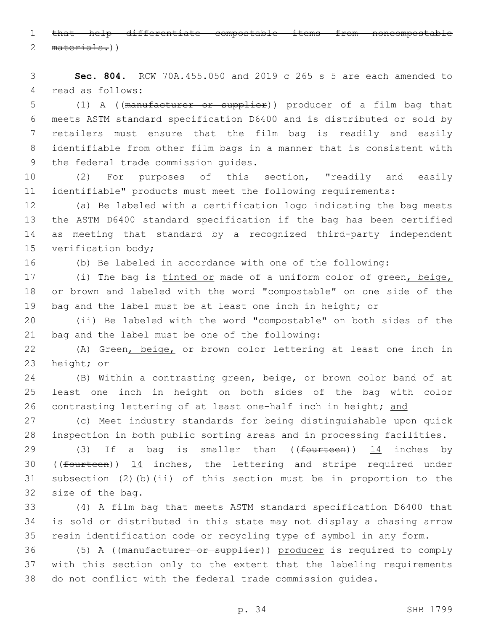that help differentiate compostable items from noncompostable 2 materials.))

 **Sec. 804.** RCW 70A.455.050 and 2019 c 265 s 5 are each amended to 4 read as follows:

 (1) A ((manufacturer or supplier)) producer of a film bag that meets ASTM standard specification D6400 and is distributed or sold by retailers must ensure that the film bag is readily and easily identifiable from other film bags in a manner that is consistent with 9 the federal trade commission guides.

 (2) For purposes of this section, "readily and easily identifiable" products must meet the following requirements:

 (a) Be labeled with a certification logo indicating the bag meets the ASTM D6400 standard specification if the bag has been certified as meeting that standard by a recognized third-party independent 15 verification body;

(b) Be labeled in accordance with one of the following:

17 (i) The bag is tinted or made of a uniform color of green, beige, or brown and labeled with the word "compostable" on one side of the bag and the label must be at least one inch in height; or

 (ii) Be labeled with the word "compostable" on both sides of the 21 bag and the label must be one of the following:

 (A) Green, beige, or brown color lettering at least one inch in 23 height; or

24 (B) Within a contrasting green, beige, or brown color band of at least one inch in height on both sides of the bag with color 26 contrasting lettering of at least one-half inch in height; and

 (c) Meet industry standards for being distinguishable upon quick inspection in both public sorting areas and in processing facilities.

29 (3) If a bag is smaller than ((fourteen)) 14 inches by ((fourteen)) 14 inches, the lettering and stripe required under subsection (2)(b)(ii) of this section must be in proportion to the 32 size of the bag.

 (4) A film bag that meets ASTM standard specification D6400 that is sold or distributed in this state may not display a chasing arrow resin identification code or recycling type of symbol in any form.

 (5) A ((manufacturer or supplier)) producer is required to comply with this section only to the extent that the labeling requirements do not conflict with the federal trade commission guides.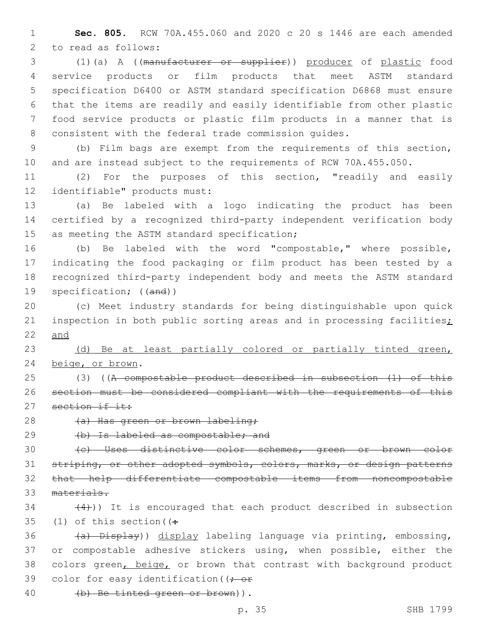**Sec. 805.** RCW 70A.455.060 and 2020 c 20 s 1446 are each amended 2 to read as follows:

 (1)(a) A ((manufacturer or supplier)) producer of plastic food service products or film products that meet ASTM standard specification D6400 or ASTM standard specification D6868 must ensure that the items are readily and easily identifiable from other plastic food service products or plastic film products in a manner that is consistent with the federal trade commission guides.

 (b) Film bags are exempt from the requirements of this section, and are instead subject to the requirements of RCW 70A.455.050.

 (2) For the purposes of this section, "readily and easily 12 identifiable" products must:

 (a) Be labeled with a logo indicating the product has been certified by a recognized third-party independent verification body 15 as meeting the ASTM standard specification;

 (b) Be labeled with the word "compostable," where possible, indicating the food packaging or film product has been tested by a recognized third-party independent body and meets the ASTM standard specification; ((and))

 (c) Meet industry standards for being distinguishable upon quick 21 inspection in both public sorting areas and in processing facilities; and

 (d) Be at least partially colored or partially tinted green, 24 beige, or brown.

 (3) ((A compostable product described in subsection (1) of this section must be considered compliant with the requirements of this 27 section if it:

28 (a) Has green or brown labeling;

(b) Is labeled as compostable; and

 (c) Uses distinctive color schemes, green or brown color 31 striping, or other adopted symbols, colors, marks, or design patterns that help differentiate compostable items from noncompostable materials.

 $(4)$ )) It is encouraged that each product described in subsection 35 (1) of this section  $($ .

36 (a) Display)) display labeling language via printing, embossing, or compostable adhesive stickers using, when possible, either the 38 colors green, beige, or brown that contrast with background product 39 color for easy identification ( $\rightarrow$  or

40 (b) Be tinted green or brown)).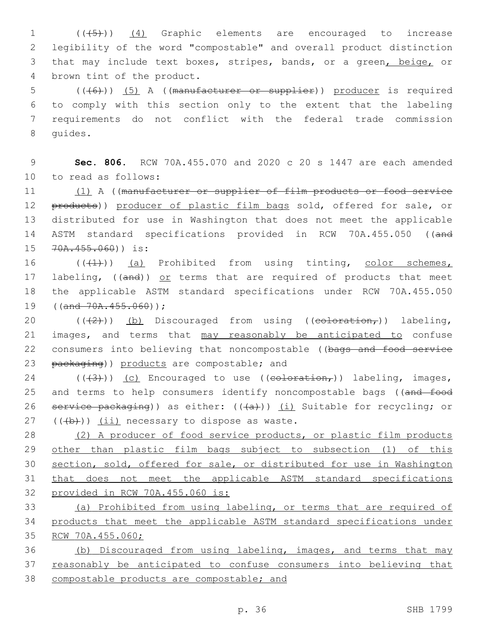1 (((5)) (4) Graphic elements are encouraged to increase 2 legibility of the word "compostable" and overall product distinction 3 that may include text boxes, stripes, bands, or a green, beige, or 4 brown tint of the product.

 (((6))) (5) A ((manufacturer or supplier)) producer is required to comply with this section only to the extent that the labeling requirements do not conflict with the federal trade commission 8 quides.

9 **Sec. 806.** RCW 70A.455.070 and 2020 c 20 s 1447 are each amended 10 to read as follows:

11 (1) A ((manufacturer or supplier of film products or food service 12 products)) producer of plastic film bags sold, offered for sale, or 13 distributed for use in Washington that does not meet the applicable 14 ASTM standard specifications provided in RCW 70A.455.050 ((and 15 70A.455.060)) is:

16 (((4))) (a) Prohibited from using tinting, color schemes, 17 labeling, ((and)) or terms that are required of products that meet 18 the applicable ASTM standard specifications under RCW 70A.455.050 19  $((and -70A.455.060))$ ;

20  $((+2+))$  (b) Discouraged from using (( $\epsilon$ oloration,)) labeling, 21 images, and terms that may reasonably be anticipated to confuse 22 consumers into believing that noncompostable ((bags and food service 23 packaging)) products are compostable; and

24 ( $(\frac{43}{})$ ) (c) Encouraged to use ( $\frac{1}{100}$ ) labeling, images, 25 and terms to help consumers identify noncompostable bags ((and food 26 service packaging)) as either:  $((+a))$  (i) Suitable for recycling; or  $(1 + b)$ ) (ii) necessary to dispose as waste.

 (2) A producer of food service products, or plastic film products 29 other than plastic film bags subject to subsection (1) of this section, sold, offered for sale, or distributed for use in Washington that does not meet the applicable ASTM standard specifications provided in RCW 70A.455.060 is:

33 (a) Prohibited from using labeling, or terms that are required of 34 products that meet the applicable ASTM standard specifications under 35 RCW 70A.455.060;

36 (b) Discouraged from using labeling, images, and terms that may 37 reasonably be anticipated to confuse consumers into believing that 38 compostable products are compostable; and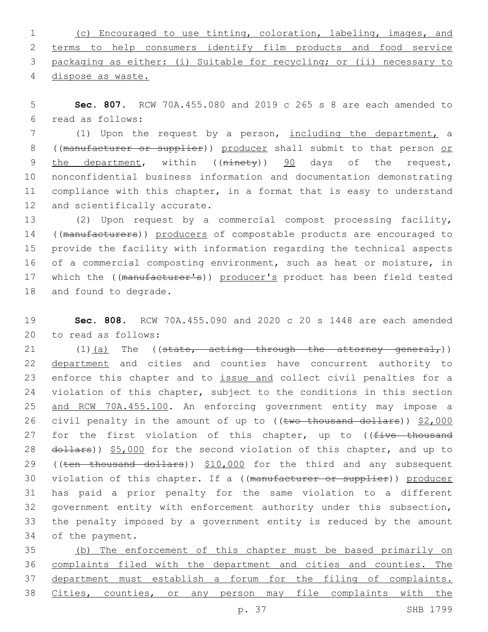(c) Encouraged to use tinting, coloration, labeling, images, and terms to help consumers identify film products and food service packaging as either: (i) Suitable for recycling; or (ii) necessary to dispose as waste.

5 **Sec. 807.** RCW 70A.455.080 and 2019 c 265 s 8 are each amended to read as follows:6

7 (1) Upon the request by a person, including the department, a 8 ((manufacturer or supplier)) producer shall submit to that person or 9 the department, within ((ninety)) 90 days of the request, 10 nonconfidential business information and documentation demonstrating 11 compliance with this chapter, in a format that is easy to understand 12 and scientifically accurate.

13 (2) Upon request by a commercial compost processing facility, 14 ((manufacturers)) producers of compostable products are encouraged to 15 provide the facility with information regarding the technical aspects 16 of a commercial composting environment, such as heat or moisture, in 17 which the ((manufacturer's)) producer's product has been field tested 18 and found to degrade.

19 **Sec. 808.** RCW 70A.455.090 and 2020 c 20 s 1448 are each amended 20 to read as follows:

21  $(1)$   $(a)$  The ((state, acting through the attorney general,)) 22 department and cities and counties have concurrent authority to 23 enforce this chapter and to issue and collect civil penalties for a 24 violation of this chapter, subject to the conditions in this section 25 and RCW 70A.455.100. An enforcing government entity may impose a 26 civil penalty in the amount of up to ((two thousand dollars)) \$2,000 27 for the first violation of this chapter, up to ((five thousand 28 dollars)) \$5,000 for the second violation of this chapter, and up to 29 ((ten thousand dollars)) \$10,000 for the third and any subsequent 30 violation of this chapter. If a ((manufacturer or supplier)) producer 31 has paid a prior penalty for the same violation to a different 32 government entity with enforcement authority under this subsection, 33 the penalty imposed by a government entity is reduced by the amount 34 of the payment.

 (b) The enforcement of this chapter must be based primarily on complaints filed with the department and cities and counties. The department must establish a forum for the filing of complaints. Cities, counties, or any person may file complaints with the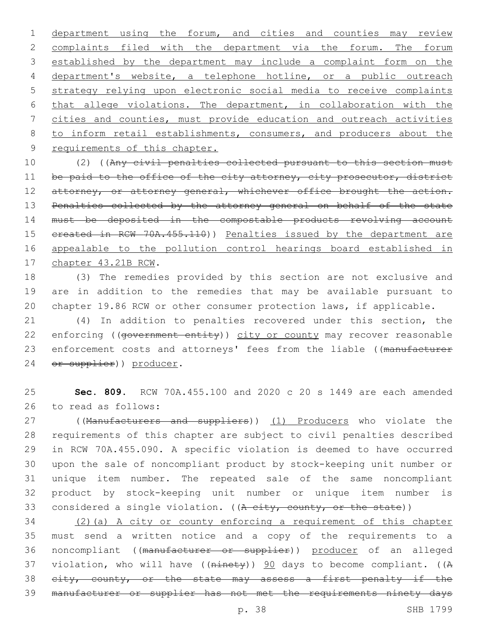department using the forum, and cities and counties may review complaints filed with the department via the forum. The forum established by the department may include a complaint form on the department's website, a telephone hotline, or a public outreach strategy relying upon electronic social media to receive complaints that allege violations. The department, in collaboration with the cities and counties, must provide education and outreach activities 8 to inform retail establishments, consumers, and producers about the 9 requirements of this chapter.

10 (2) ((Any civil penalties collected pursuant to this section must 11 be paid to the office of the city attorney, city prosecutor, district 12 attorney, or attorney general, whichever office brought the action. 13 Penalties collected by the attorney general on behalf of the state 14 must be deposited in the compostable products revolving account 15 created in RCW 70A.455.110)) Penalties issued by the department are 16 appealable to the pollution control hearings board established in 17 chapter 43.21B RCW.

18 (3) The remedies provided by this section are not exclusive and 19 are in addition to the remedies that may be available pursuant to 20 chapter 19.86 RCW or other consumer protection laws, if applicable.

21 (4) In addition to penalties recovered under this section, the 22 enforcing ((government entity)) city or county may recover reasonable 23 enforcement costs and attorneys' fees from the liable ((manufacturer 24 or supplier)) producer.

25 **Sec. 809.** RCW 70A.455.100 and 2020 c 20 s 1449 are each amended 26 to read as follows:

27 ((Manufacturers and suppliers)) (1) Producers who violate the requirements of this chapter are subject to civil penalties described in RCW 70A.455.090. A specific violation is deemed to have occurred upon the sale of noncompliant product by stock-keeping unit number or unique item number. The repeated sale of the same noncompliant product by stock-keeping unit number or unique item number is 33 considered a single violation. ( $(A<sub>city</sub>, count, or the state)$ )

 (2)(a) A city or county enforcing a requirement of this chapter must send a written notice and a copy of the requirements to a noncompliant ((manufacturer or supplier)) producer of an alleged 37 violation, who will have ((ninety)) 90 days to become compliant. ((A 38 eity, county, or the state may assess a first penalty if the manufacturer or supplier has not met the requirements ninety days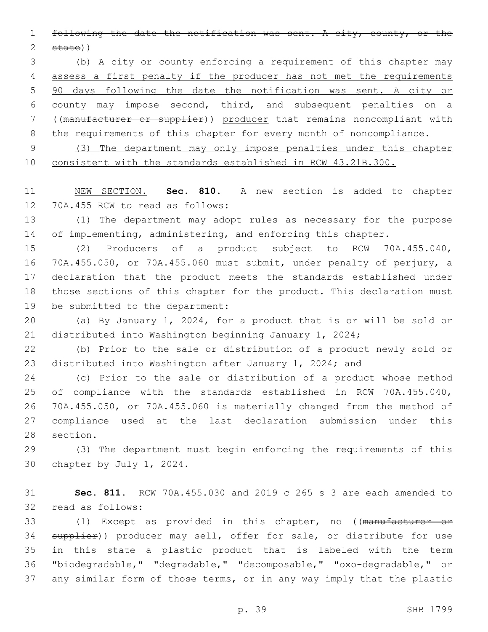following the date the notification was sent. A city, county, or the state))

 (b) A city or county enforcing a requirement of this chapter may assess a first penalty if the producer has not met the requirements 90 days following the date the notification was sent. A city or county may impose second, third, and subsequent penalties on a ((manufacturer or supplier)) producer that remains noncompliant with 8 the requirements of this chapter for every month of noncompliance.

 (3) The department may only impose penalties under this chapter consistent with the standards established in RCW 43.21B.300.

 NEW SECTION. **Sec. 810.** A new section is added to chapter 12 70A.455 RCW to read as follows:

 (1) The department may adopt rules as necessary for the purpose 14 of implementing, administering, and enforcing this chapter.

 (2) Producers of a product subject to RCW 70A.455.040, 70A.455.050, or 70A.455.060 must submit, under penalty of perjury, a declaration that the product meets the standards established under those sections of this chapter for the product. This declaration must 19 be submitted to the department:

 (a) By January 1, 2024, for a product that is or will be sold or distributed into Washington beginning January 1, 2024;

 (b) Prior to the sale or distribution of a product newly sold or distributed into Washington after January 1, 2024; and

 (c) Prior to the sale or distribution of a product whose method of compliance with the standards established in RCW 70A.455.040, 70A.455.050, or 70A.455.060 is materially changed from the method of compliance used at the last declaration submission under this 28 section.

 (3) The department must begin enforcing the requirements of this 30 chapter by July 1, 2024.

 **Sec. 811.** RCW 70A.455.030 and 2019 c 265 s 3 are each amended to 32 read as follows:

33 (1) Except as provided in this chapter, no ((manufacturer or 34 supplier)) producer may sell, offer for sale, or distribute for use in this state a plastic product that is labeled with the term "biodegradable," "degradable," "decomposable," "oxo-degradable," or any similar form of those terms, or in any way imply that the plastic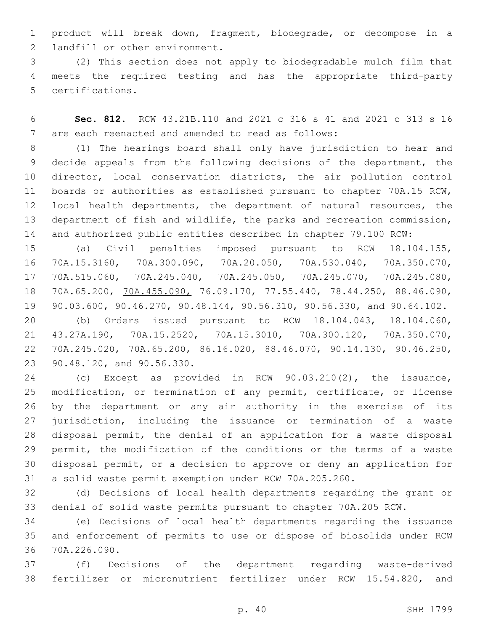product will break down, fragment, biodegrade, or decompose in a 2 landfill or other environment.

 (2) This section does not apply to biodegradable mulch film that meets the required testing and has the appropriate third-party 5 certifications.

 **Sec. 812.** RCW 43.21B.110 and 2021 c 316 s 41 and 2021 c 313 s 16 7 are each reenacted and amended to read as follows:

 (1) The hearings board shall only have jurisdiction to hear and decide appeals from the following decisions of the department, the director, local conservation districts, the air pollution control boards or authorities as established pursuant to chapter 70A.15 RCW, local health departments, the department of natural resources, the department of fish and wildlife, the parks and recreation commission, and authorized public entities described in chapter 79.100 RCW:

 (a) Civil penalties imposed pursuant to RCW 18.104.155, 70A.15.3160, 70A.300.090, 70A.20.050, 70A.530.040, 70A.350.070, 70A.515.060, 70A.245.040, 70A.245.050, 70A.245.070, 70A.245.080, 70A.65.200, 70A.455.090, 76.09.170, 77.55.440, 78.44.250, 88.46.090, 90.03.600, 90.46.270, 90.48.144, 90.56.310, 90.56.330, and 90.64.102.

 (b) Orders issued pursuant to RCW 18.104.043, 18.104.060, 43.27A.190, 70A.15.2520, 70A.15.3010, 70A.300.120, 70A.350.070, 70A.245.020, 70A.65.200, 86.16.020, 88.46.070, 90.14.130, 90.46.250, 23 90.48.120, and 90.56.330.

 (c) Except as provided in RCW 90.03.210(2), the issuance, modification, or termination of any permit, certificate, or license by the department or any air authority in the exercise of its jurisdiction, including the issuance or termination of a waste disposal permit, the denial of an application for a waste disposal permit, the modification of the conditions or the terms of a waste disposal permit, or a decision to approve or deny an application for a solid waste permit exemption under RCW 70A.205.260.

 (d) Decisions of local health departments regarding the grant or denial of solid waste permits pursuant to chapter 70A.205 RCW.

 (e) Decisions of local health departments regarding the issuance and enforcement of permits to use or dispose of biosolids under RCW 70A.226.090.36

 (f) Decisions of the department regarding waste-derived fertilizer or micronutrient fertilizer under RCW 15.54.820, and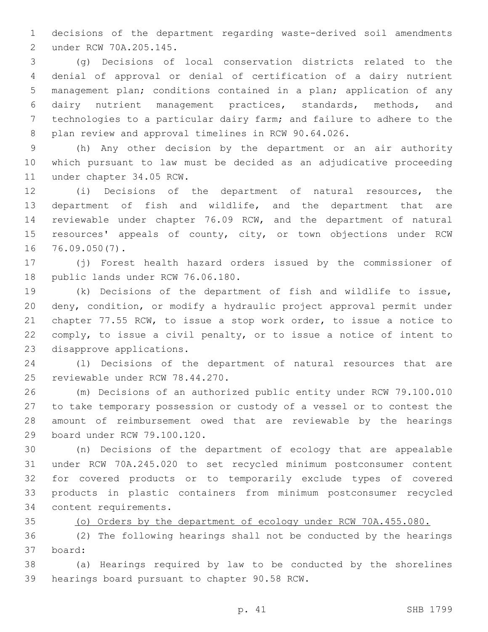decisions of the department regarding waste-derived soil amendments under RCW 70A.205.145.2

 (g) Decisions of local conservation districts related to the denial of approval or denial of certification of a dairy nutrient management plan; conditions contained in a plan; application of any dairy nutrient management practices, standards, methods, and technologies to a particular dairy farm; and failure to adhere to the plan review and approval timelines in RCW 90.64.026.

 (h) Any other decision by the department or an air authority which pursuant to law must be decided as an adjudicative proceeding 11 under chapter 34.05 RCW.

 (i) Decisions of the department of natural resources, the department of fish and wildlife, and the department that are reviewable under chapter 76.09 RCW, and the department of natural 15 resources' appeals of county, city, or town objections under RCW 16 76.09.050(7).

 (j) Forest health hazard orders issued by the commissioner of 18 public lands under RCW 76.06.180.

 (k) Decisions of the department of fish and wildlife to issue, deny, condition, or modify a hydraulic project approval permit under chapter 77.55 RCW, to issue a stop work order, to issue a notice to comply, to issue a civil penalty, or to issue a notice of intent to 23 disapprove applications.

 (l) Decisions of the department of natural resources that are 25 reviewable under RCW 78.44.270.

 (m) Decisions of an authorized public entity under RCW 79.100.010 to take temporary possession or custody of a vessel or to contest the amount of reimbursement owed that are reviewable by the hearings 29 board under RCW 79.100.120.

 (n) Decisions of the department of ecology that are appealable under RCW 70A.245.020 to set recycled minimum postconsumer content for covered products or to temporarily exclude types of covered products in plastic containers from minimum postconsumer recycled 34 content requirements.

(o) Orders by the department of ecology under RCW 70A.455.080.

 (2) The following hearings shall not be conducted by the hearings board:37

 (a) Hearings required by law to be conducted by the shorelines 39 hearings board pursuant to chapter 90.58 RCW.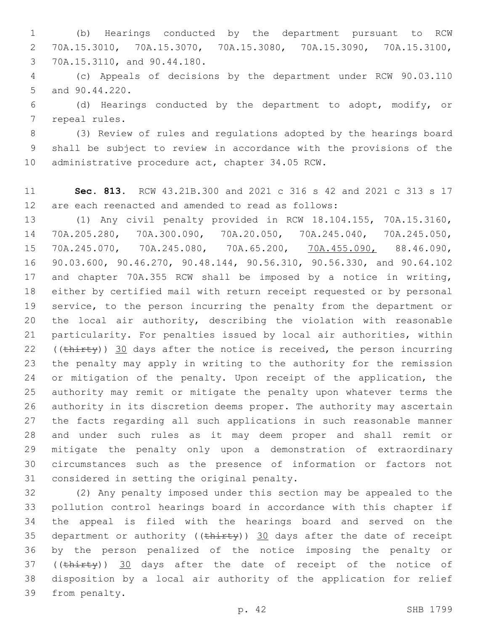(b) Hearings conducted by the department pursuant to RCW 70A.15.3010, 70A.15.3070, 70A.15.3080, 70A.15.3090, 70A.15.3100, 70A.15.3110, and 90.44.180.3

 (c) Appeals of decisions by the department under RCW 90.03.110 5 and 90.44.220.

 (d) Hearings conducted by the department to adopt, modify, or 7 repeal rules.

 (3) Review of rules and regulations adopted by the hearings board shall be subject to review in accordance with the provisions of the 10 administrative procedure act, chapter 34.05 RCW.

 **Sec. 813.** RCW 43.21B.300 and 2021 c 316 s 42 and 2021 c 313 s 17 are each reenacted and amended to read as follows:

 (1) Any civil penalty provided in RCW 18.104.155, 70A.15.3160, 70A.205.280, 70A.300.090, 70A.20.050, 70A.245.040, 70A.245.050, 70A.245.070, 70A.245.080, 70A.65.200, 70A.455.090, 88.46.090, 90.03.600, 90.46.270, 90.48.144, 90.56.310, 90.56.330, and 90.64.102 and chapter 70A.355 RCW shall be imposed by a notice in writing, either by certified mail with return receipt requested or by personal service, to the person incurring the penalty from the department or the local air authority, describing the violation with reasonable particularity. For penalties issued by local air authorities, within 22 (( $\text{thirty}$ )) 30 days after the notice is received, the person incurring the penalty may apply in writing to the authority for the remission 24 or mitigation of the penalty. Upon receipt of the application, the authority may remit or mitigate the penalty upon whatever terms the authority in its discretion deems proper. The authority may ascertain the facts regarding all such applications in such reasonable manner and under such rules as it may deem proper and shall remit or mitigate the penalty only upon a demonstration of extraordinary circumstances such as the presence of information or factors not 31 considered in setting the original penalty.

 (2) Any penalty imposed under this section may be appealed to the pollution control hearings board in accordance with this chapter if the appeal is filed with the hearings board and served on the 35 department or authority ( $(\text{thi}$ rty)) 30 days after the date of receipt by the person penalized of the notice imposing the penalty or 37 ((thirty)) 30 days after the date of receipt of the notice of disposition by a local air authority of the application for relief 39 from penalty.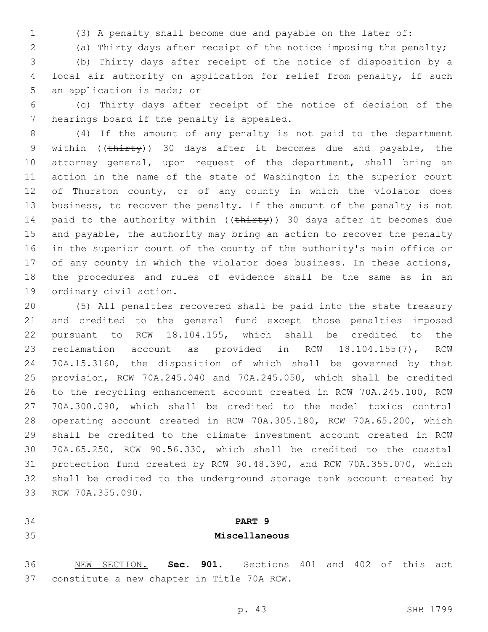(3) A penalty shall become due and payable on the later of:

(a) Thirty days after receipt of the notice imposing the penalty;

 (b) Thirty days after receipt of the notice of disposition by a local air authority on application for relief from penalty, if such 5 an application is made; or

 (c) Thirty days after receipt of the notice of decision of the 7 hearings board if the penalty is appealed.

 (4) If the amount of any penalty is not paid to the department 9 within ((thirty)) 30 days after it becomes due and payable, the attorney general, upon request of the department, shall bring an action in the name of the state of Washington in the superior court 12 of Thurston county, or of any county in which the violator does business, to recover the penalty. If the amount of the penalty is not 14 paid to the authority within  $((\text{thirty}))$  30 days after it becomes due and payable, the authority may bring an action to recover the penalty in the superior court of the county of the authority's main office or 17 of any county in which the violator does business. In these actions, the procedures and rules of evidence shall be the same as in an 19 ordinary civil action.

 (5) All penalties recovered shall be paid into the state treasury and credited to the general fund except those penalties imposed pursuant to RCW 18.104.155, which shall be credited to the reclamation account as provided in RCW 18.104.155(7), RCW 70A.15.3160, the disposition of which shall be governed by that provision, RCW 70A.245.040 and 70A.245.050, which shall be credited to the recycling enhancement account created in RCW 70A.245.100, RCW 70A.300.090, which shall be credited to the model toxics control operating account created in RCW 70A.305.180, RCW 70A.65.200, which shall be credited to the climate investment account created in RCW 70A.65.250, RCW 90.56.330, which shall be credited to the coastal protection fund created by RCW 90.48.390, and RCW 70A.355.070, which shall be credited to the underground storage tank account created by 33 RCW 70A.355.090.

# **PART 9 Miscellaneous**

 NEW SECTION. **Sec. 901.** Sections 401 and 402 of this act constitute a new chapter in Title 70A RCW.